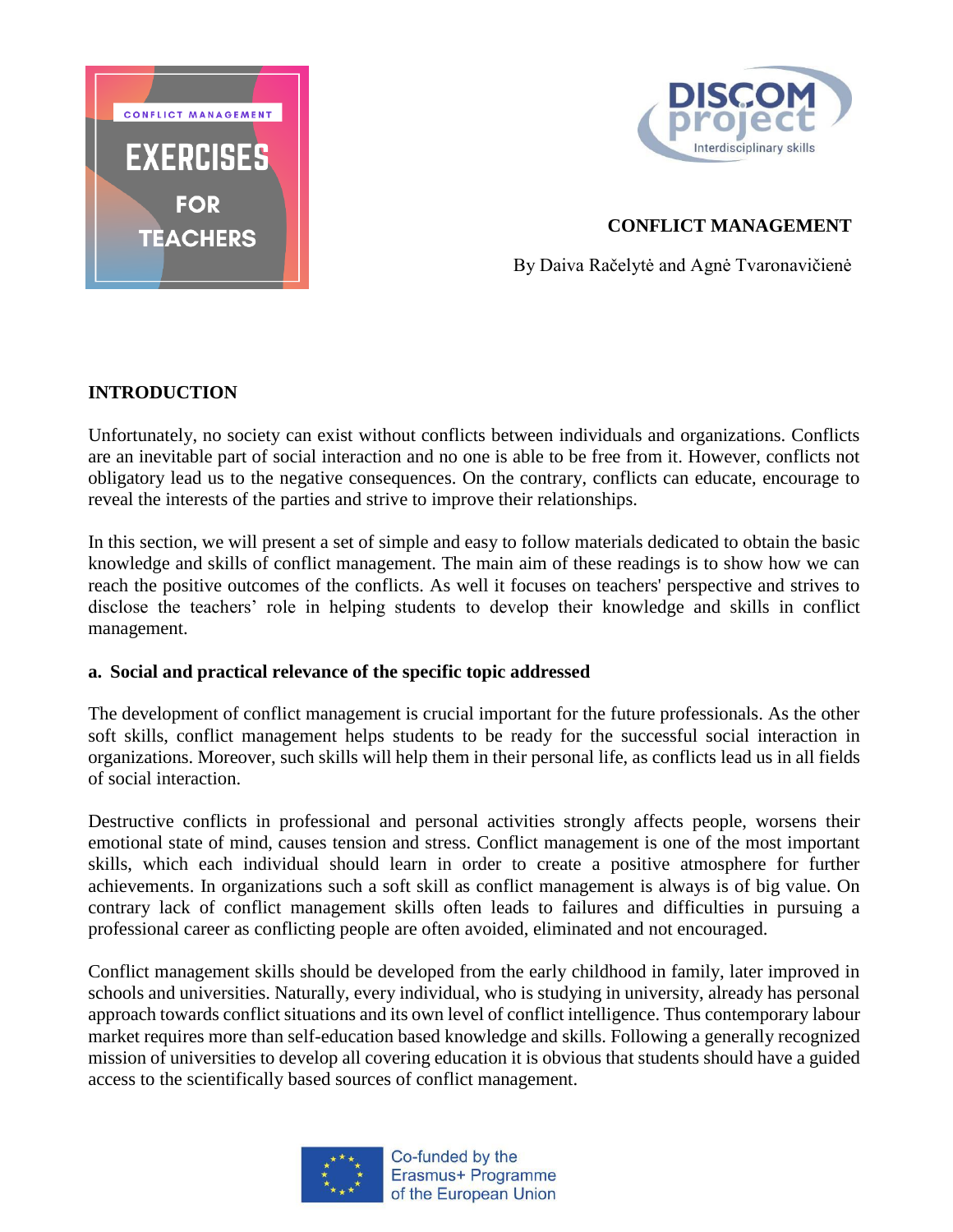



## **CONFLICT MANAGEMENT**

By Daiva Račelytė and Agnė Tvaronavičienė

### **INTRODUCTION**

Unfortunately, no society can exist without conflicts between individuals and organizations. Conflicts are an inevitable part of social interaction and no one is able to be free from it. However, conflicts not obligatory lead us to the negative consequences. On the contrary, conflicts can educate, encourage to reveal the interests of the parties and strive to improve their relationships.

In this section, we will present a set of simple and easy to follow materials dedicated to obtain the basic knowledge and skills of conflict management. The main aim of these readings is to show how we can reach the positive outcomes of the conflicts. As well it focuses on teachers' perspective and strives to disclose the teachers' role in helping students to develop their knowledge and skills in conflict management.

#### **a. Social and practical relevance of the specific topic addressed**

The development of conflict management is crucial important for the future professionals. As the other soft skills, conflict management helps students to be ready for the successful social interaction in organizations. Moreover, such skills will help them in their personal life, as conflicts lead us in all fields of social interaction.

Destructive conflicts in professional and personal activities strongly affects people, worsens their emotional state of mind, causes tension and stress. Conflict management is one of the most important skills, which each individual should learn in order to create a positive atmosphere for further achievements. In organizations such a soft skill as conflict management is always is of big value. On contrary lack of conflict management skills often leads to failures and difficulties in pursuing a professional career as conflicting people are often avoided, eliminated and not encouraged.

Conflict management skills should be developed from the early childhood in family, later improved in schools and universities. Naturally, every individual, who is studying in university, already has personal approach towards conflict situations and its own level of conflict intelligence. Thus contemporary labour market requires more than self-education based knowledge and skills. Following a generally recognized mission of universities to develop all covering education it is obvious that students should have a guided access to the scientifically based sources of conflict management.

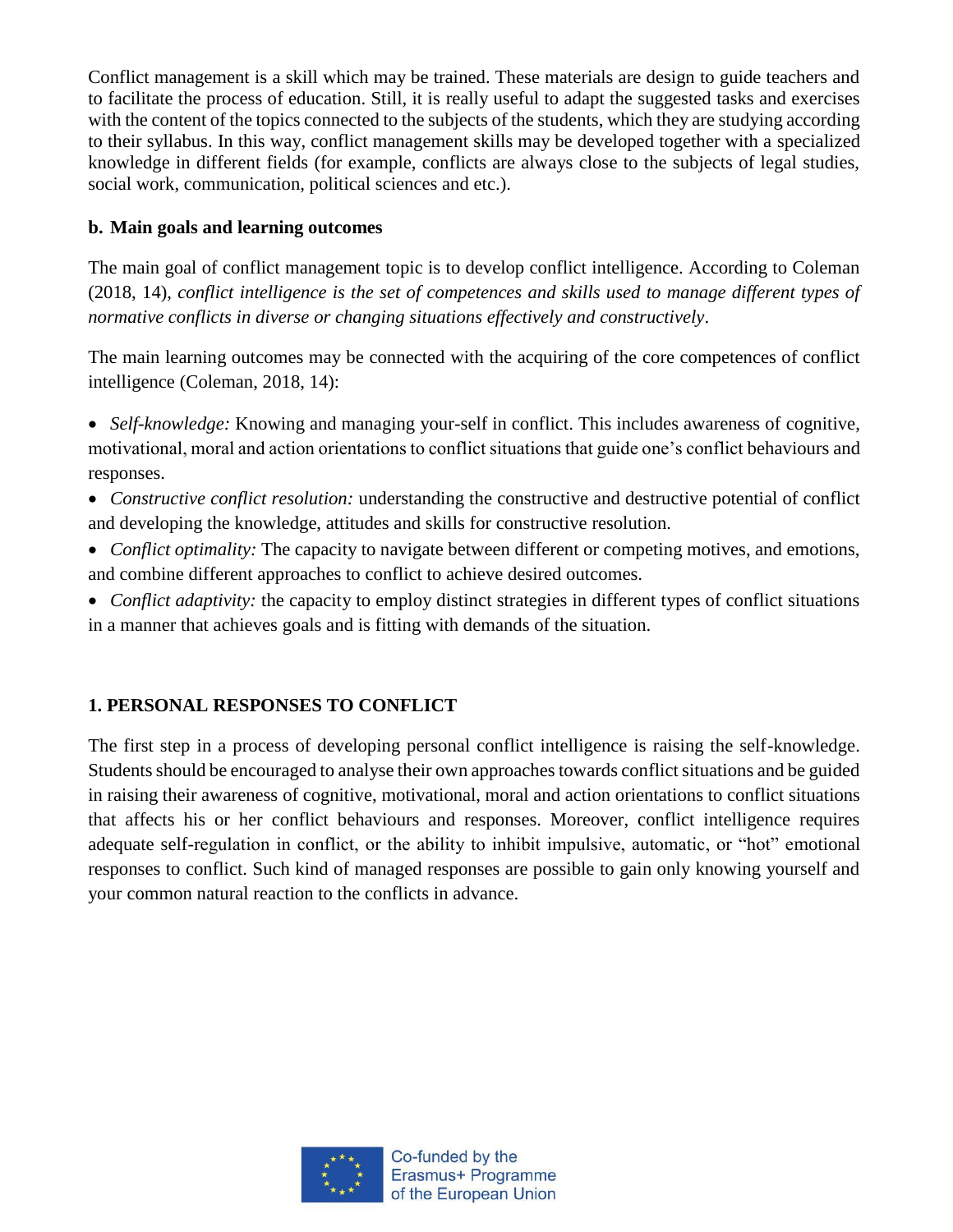Conflict management is a skill which may be trained. These materials are design to guide teachers and to facilitate the process of education. Still, it is really useful to adapt the suggested tasks and exercises with the content of the topics connected to the subjects of the students, which they are studying according to their syllabus. In this way, conflict management skills may be developed together with a specialized knowledge in different fields (for example, conflicts are always close to the subjects of legal studies, social work, communication, political sciences and etc.).

## **b. Main goals and learning outcomes**

The main goal of conflict management topic is to develop conflict intelligence. According to Coleman (2018, 14), *conflict intelligence is the set of competences and skills used to manage different types of normative conflicts in diverse or changing situations effectively and constructively*.

The main learning outcomes may be connected with the acquiring of the core competences of conflict intelligence (Coleman, 2018, 14):

 *Self-knowledge:* Knowing and managing your-self in conflict. This includes awareness of cognitive, motivational, moral and action orientations to conflict situations that guide one's conflict behaviours and responses.

- *Constructive conflict resolution:* understanding the constructive and destructive potential of conflict and developing the knowledge, attitudes and skills for constructive resolution.
- *Conflict optimality:* The capacity to navigate between different or competing motives, and emotions, and combine different approaches to conflict to achieve desired outcomes.
- *Conflict adaptivity:* the capacity to employ distinct strategies in different types of conflict situations in a manner that achieves goals and is fitting with demands of the situation.

## **1. PERSONAL RESPONSES TO CONFLICT**

The first step in a process of developing personal conflict intelligence is raising the self-knowledge. Students should be encouraged to analyse their own approaches towards conflict situations and be guided in raising their awareness of cognitive, motivational, moral and action orientations to conflict situations that affects his or her conflict behaviours and responses. Moreover, conflict intelligence requires adequate self-regulation in conflict, or the ability to inhibit impulsive, automatic, or "hot" emotional responses to conflict. Such kind of managed responses are possible to gain only knowing yourself and your common natural reaction to the conflicts in advance.

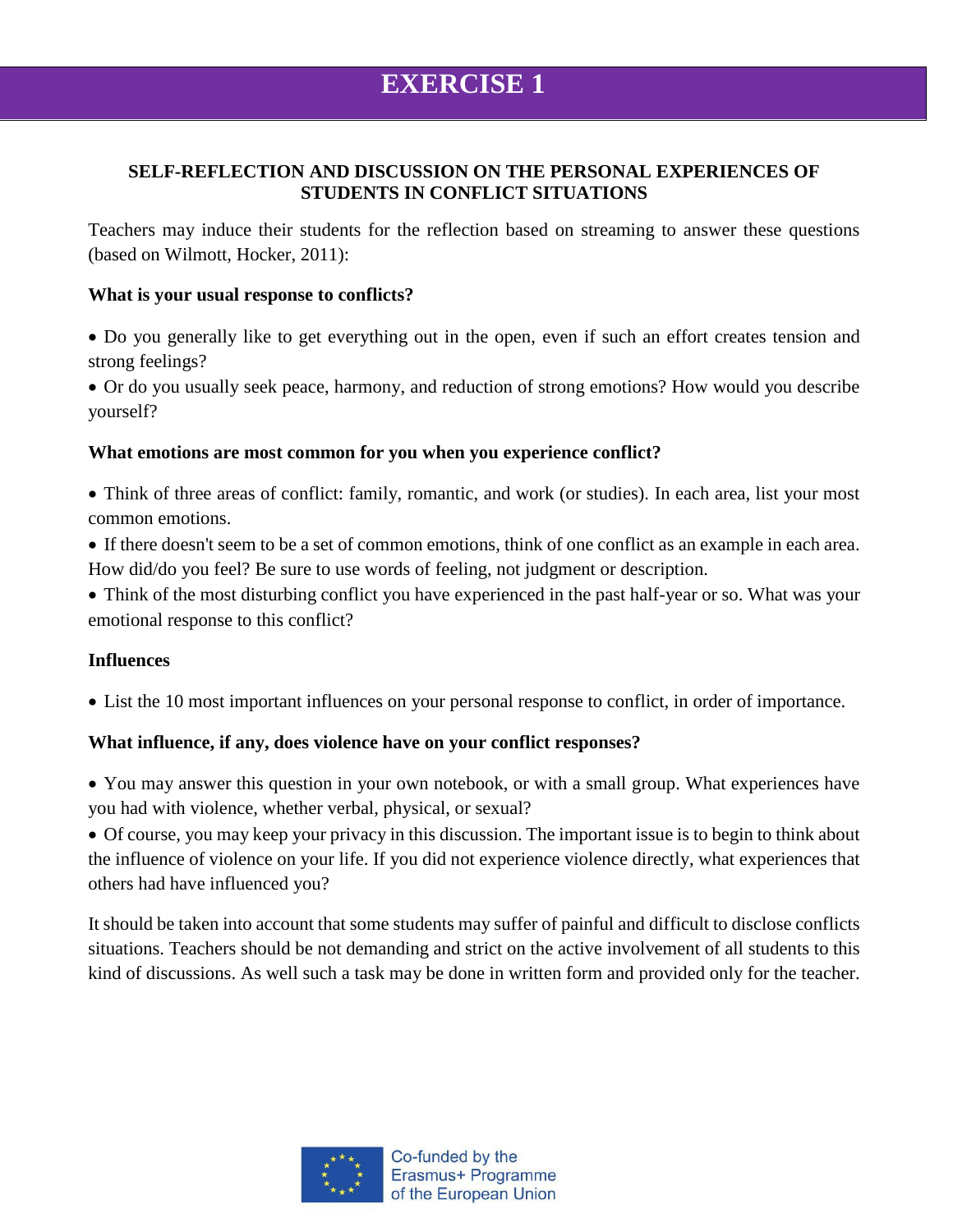## **EXERCISE 1**

## **SELF-REFLECTION AND DISCUSSION ON THE PERSONAL EXPERIENCES OF STUDENTS IN CONFLICT SITUATIONS**

Teachers may induce their students for the reflection based on streaming to answer these questions (based on Wilmott, Hocker, 2011):

#### **What is your usual response to conflicts?**

 Do you generally like to get everything out in the open, even if such an effort creates tension and strong feelings?

 Or do you usually seek peace, harmony, and reduction of strong emotions? How would you describe yourself?

#### **What emotions are most common for you when you experience conflict?**

• Think of three areas of conflict: family, romantic, and work (or studies). In each area, list your most common emotions.

 If there doesn't seem to be a set of common emotions, think of one conflict as an example in each area. How did/do you feel? Be sure to use words of feeling, not judgment or description.

 Think of the most disturbing conflict you have experienced in the past half-year or so. What was your emotional response to this conflict?

#### **Influences**

List the 10 most important influences on your personal response to conflict, in order of importance.

#### **What influence, if any, does violence have on your conflict responses?**

 You may answer this question in your own notebook, or with a small group. What experiences have you had with violence, whether verbal, physical, or sexual?

 Of course, you may keep your privacy in this discussion. The important issue is to begin to think about the influence of violence on your life. If you did not experience violence directly, what experiences that others had have influenced you?

It should be taken into account that some students may suffer of painful and difficult to disclose conflicts situations. Teachers should be not demanding and strict on the active involvement of all students to this kind of discussions. As well such a task may be done in written form and provided only for the teacher.

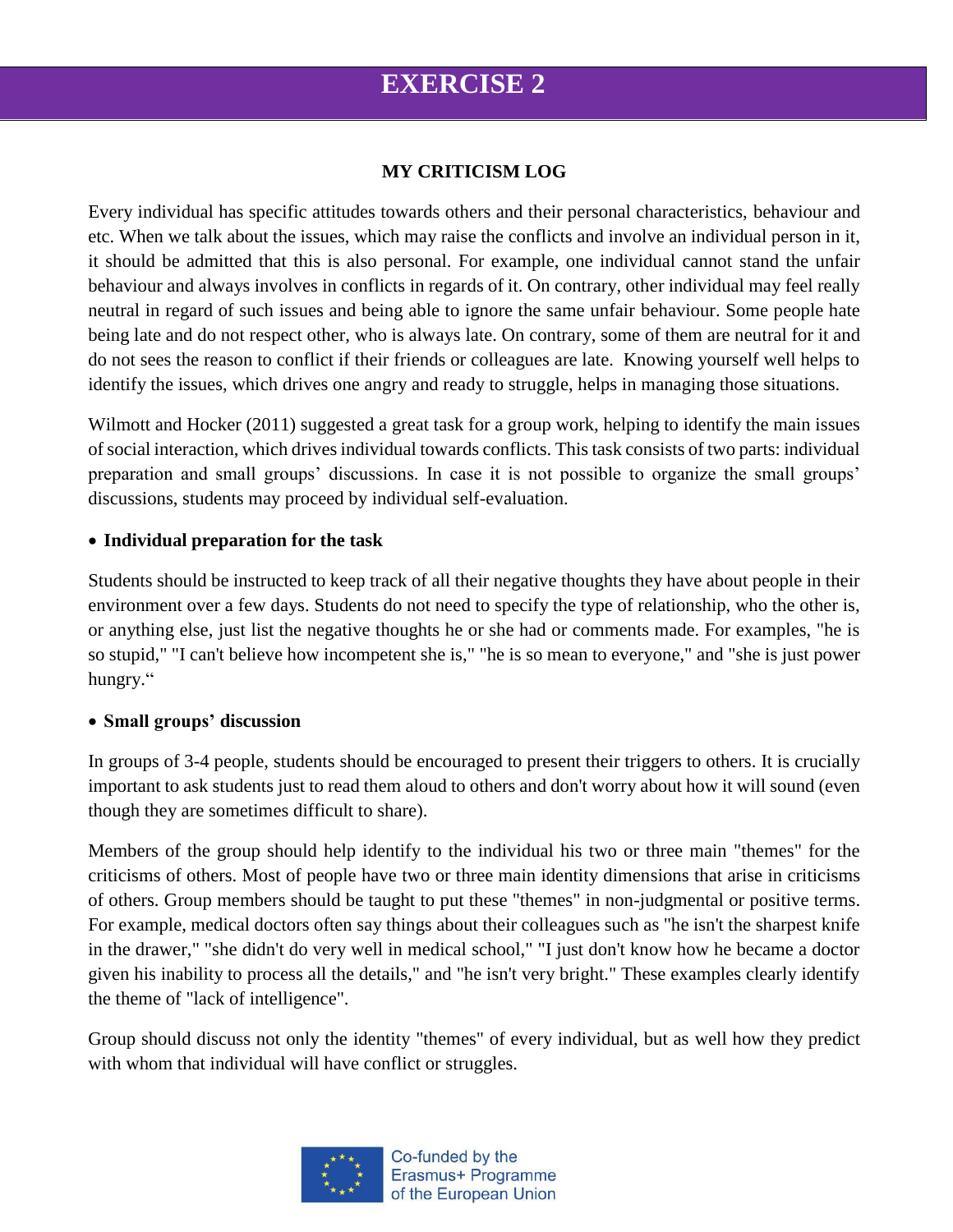## **EXERCISE 2**

### **MY CRITICISM LOG**

Every individual has specific attitudes towards others and their personal characteristics, behaviour and etc. When we talk about the issues, which may raise the conflicts and involve an individual person in it, it should be admitted that this is also personal. For example, one individual cannot stand the unfair behaviour and always involves in conflicts in regards of it. On contrary, other individual may feel really neutral in regard of such issues and being able to ignore the same unfair behaviour. Some people hate being late and do not respect other, who is always late. On contrary, some of them are neutral for it and do not sees the reason to conflict if their friends or colleagues are late. Knowing yourself well helps to identify the issues, which drives one angry and ready to struggle, helps in managing those situations.

Wilmott and Hocker (2011) suggested a great task for a group work, helping to identify the main issues of social interaction, which drives individual towards conflicts. This task consists of two parts: individual preparation and small groups' discussions. In case it is not possible to organize the small groups' discussions, students may proceed by individual self-evaluation.

#### **Individual preparation for the task**

Students should be instructed to keep track of all their negative thoughts they have about people in their environment over a few days. Students do not need to specify the type of relationship, who the other is, or anything else, just list the negative thoughts he or she had or comments made. For examples, "he is so stupid," "I can't believe how incompetent she is," "he is so mean to everyone," and "she is just power hungry."

#### **Small groups' discussion**

In groups of 3-4 people, students should be encouraged to present their triggers to others. It is crucially important to ask students just to read them aloud to others and don't worry about how it will sound (even though they are sometimes difficult to share).

Members of the group should help identify to the individual his two or three main "themes" for the criticisms of others. Most of people have two or three main identity dimensions that arise in criticisms of others. Group members should be taught to put these "themes" in non-judgmental or positive terms. For example, medical doctors often say things about their colleagues such as "he isn't the sharpest knife in the drawer," "she didn't do very well in medical school," "I just don't know how he became a doctor given his inability to process all the details," and "he isn't very bright." These examples clearly identify the theme of "lack of intelligence".

Group should discuss not only the identity "themes" of every individual, but as well how they predict with whom that individual will have conflict or struggles.



Co-funded by the Erasmus+ Programme of the European Union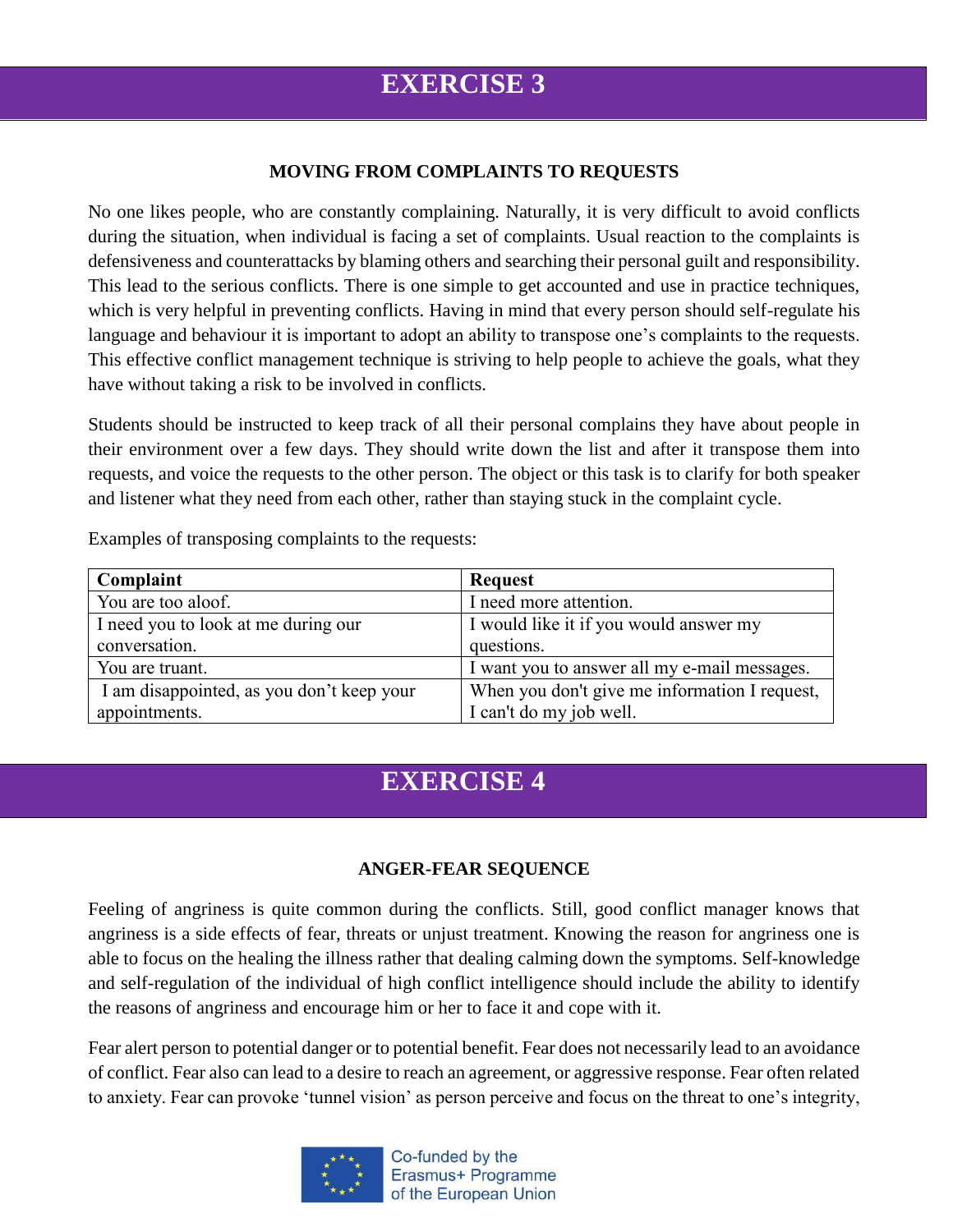#### **MOVING FROM COMPLAINTS TO REQUESTS**

No one likes people, who are constantly complaining. Naturally, it is very difficult to avoid conflicts during the situation, when individual is facing a set of complaints. Usual reaction to the complaints is defensiveness and counterattacks by blaming others and searching their personal guilt and responsibility. This lead to the serious conflicts. There is one simple to get accounted and use in practice techniques, which is very helpful in preventing conflicts. Having in mind that every person should self-regulate his language and behaviour it is important to adopt an ability to transpose one's complaints to the requests. This effective conflict management technique is striving to help people to achieve the goals, what they have without taking a risk to be involved in conflicts.

Students should be instructed to keep track of all their personal complains they have about people in their environment over a few days. They should write down the list and after it transpose them into requests, and voice the requests to the other person. The object or this task is to clarify for both speaker and listener what they need from each other, rather than staying stuck in the complaint cycle.

| Complaint                                 | <b>Request</b>                                |
|-------------------------------------------|-----------------------------------------------|
| You are too aloof.                        | I need more attention.                        |
| I need you to look at me during our       | I would like it if you would answer my        |
| conversation.                             | questions.                                    |
| You are truant.                           | I want you to answer all my e-mail messages.  |
| I am disappointed, as you don't keep your | When you don't give me information I request, |
| appointments.                             | I can't do my job well.                       |

Examples of transposing complaints to the requests:

## **EXERCISE 4**

#### **ANGER-FEAR SEQUENCE**

Feeling of angriness is quite common during the conflicts. Still, good conflict manager knows that angriness is a side effects of fear, threats or unjust treatment. Knowing the reason for angriness one is able to focus on the healing the illness rather that dealing calming down the symptoms. Self-knowledge and self-regulation of the individual of high conflict intelligence should include the ability to identify the reasons of angriness and encourage him or her to face it and cope with it.

Fear alert person to potential danger or to potential benefit. Fear does not necessarily lead to an avoidance of conflict. Fear also can lead to a desire to reach an agreement, or aggressive response. Fear often related to anxiety. Fear can provoke 'tunnel vision' as person perceive and focus on the threat to one's integrity,



Co-funded by the Erasmus+ Programme of the European Union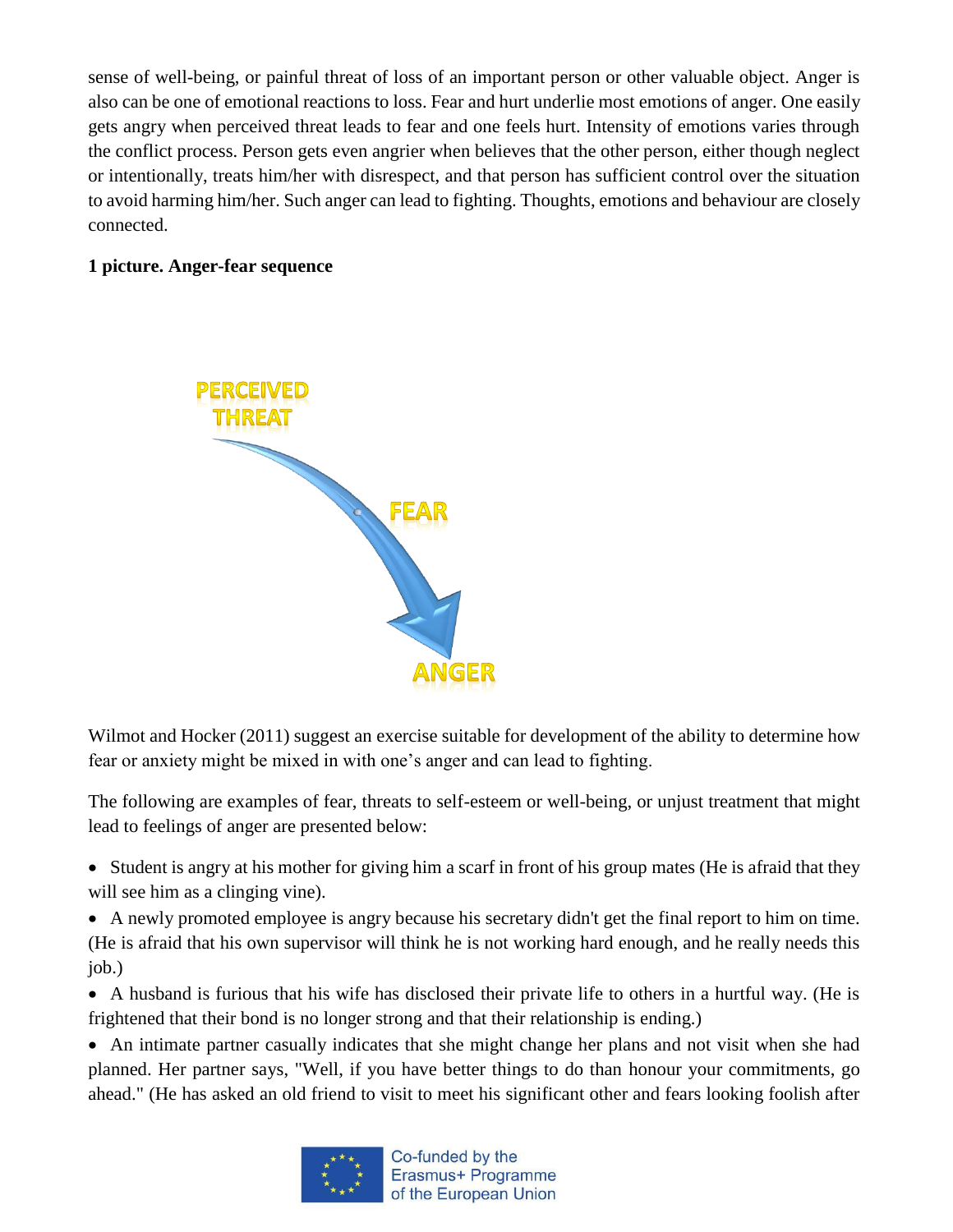sense of well-being, or painful threat of loss of an important person or other valuable object. Anger is also can be one of emotional reactions to loss. Fear and hurt underlie most emotions of anger. One easily gets angry when perceived threat leads to fear and one feels hurt. Intensity of emotions varies through the conflict process. Person gets even angrier when believes that the other person, either though neglect or intentionally, treats him/her with disrespect, and that person has sufficient control over the situation to avoid harming him/her. Such anger can lead to fighting. Thoughts, emotions and behaviour are closely connected.

### **1 picture. Anger-fear sequence**



Wilmot and Hocker (2011) suggest an exercise suitable for development of the ability to determine how fear or anxiety might be mixed in with one's anger and can lead to fighting.

The following are examples of fear, threats to self-esteem or well-being, or unjust treatment that might lead to feelings of anger are presented below:

- Student is angry at his mother for giving him a scarf in front of his group mates (He is afraid that they will see him as a clinging vine).
- A newly promoted employee is angry because his secretary didn't get the final report to him on time. (He is afraid that his own supervisor will think he is not working hard enough, and he really needs this job.)
- A husband is furious that his wife has disclosed their private life to others in a hurtful way. (He is frightened that their bond is no longer strong and that their relationship is ending.)
- An intimate partner casually indicates that she might change her plans and not visit when she had planned. Her partner says, "Well, if you have better things to do than honour your commitments, go ahead." (He has asked an old friend to visit to meet his significant other and fears looking foolish after

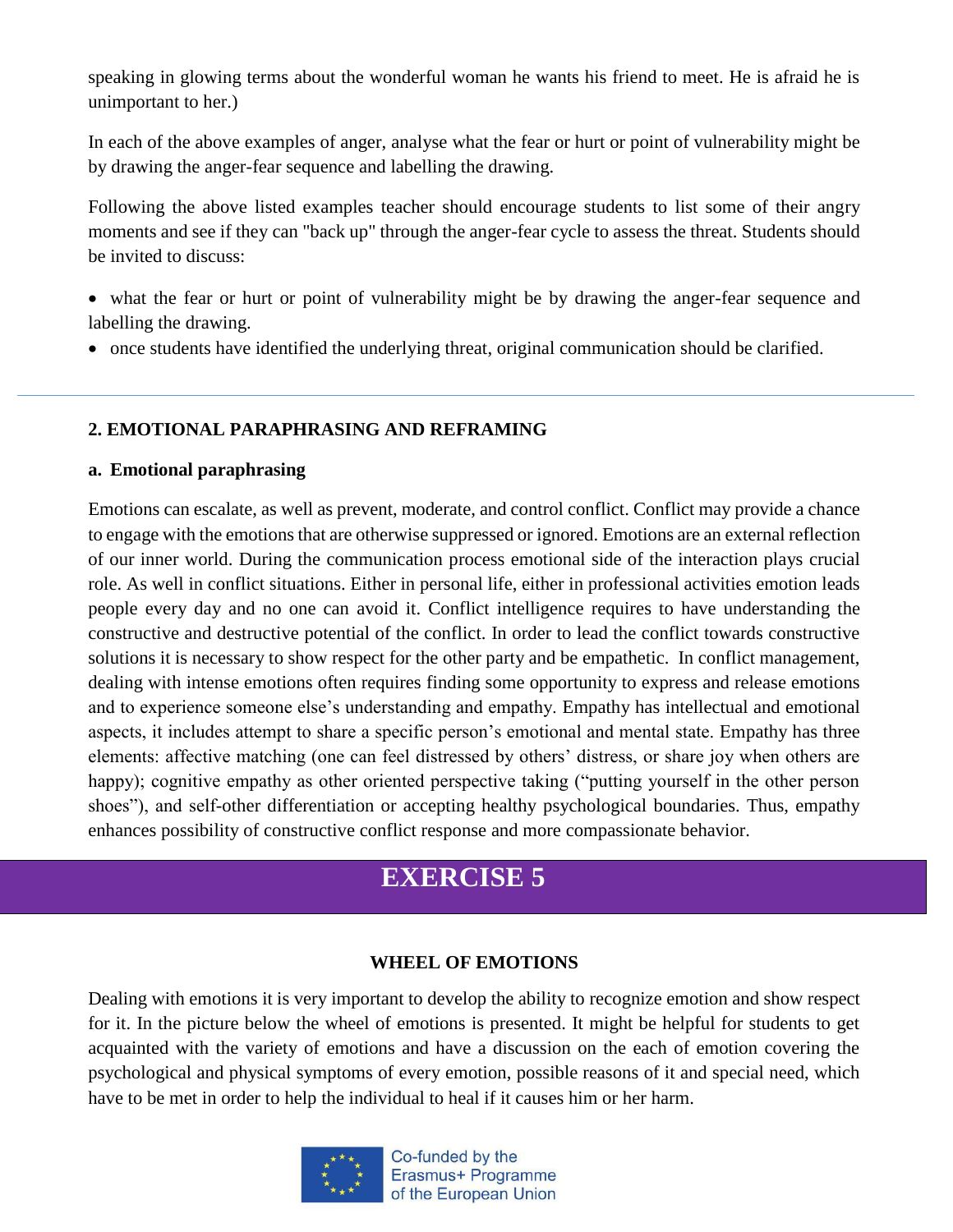speaking in glowing terms about the wonderful woman he wants his friend to meet. He is afraid he is unimportant to her.)

In each of the above examples of anger, analyse what the fear or hurt or point of vulnerability might be by drawing the anger-fear sequence and labelling the drawing.

Following the above listed examples teacher should encourage students to list some of their angry moments and see if they can "back up" through the anger-fear cycle to assess the threat. Students should be invited to discuss:

- what the fear or hurt or point of vulnerability might be by drawing the anger-fear sequence and labelling the drawing.
- once students have identified the underlying threat, original communication should be clarified.

### **2. EMOTIONAL PARAPHRASING AND REFRAMING**

#### **a. Emotional paraphrasing**

Emotions can escalate, as well as prevent, moderate, and control conflict. Conflict may provide a chance to engage with the emotions that are otherwise suppressed or ignored. Emotions are an external reflection of our inner world. During the communication process emotional side of the interaction plays crucial role. As well in conflict situations. Either in personal life, either in professional activities emotion leads people every day and no one can avoid it. Conflict intelligence requires to have understanding the constructive and destructive potential of the conflict. In order to lead the conflict towards constructive solutions it is necessary to show respect for the other party and be empathetic. In conflict management, dealing with intense emotions often requires finding some opportunity to express and release emotions and to experience someone else's understanding and empathy. Empathy has intellectual and emotional aspects, it includes attempt to share a specific person's emotional and mental state. Empathy has three elements: affective matching (one can feel distressed by others' distress, or share joy when others are happy); cognitive empathy as other oriented perspective taking ("putting yourself in the other person shoes"), and self-other differentiation or accepting healthy psychological boundaries. Thus, empathy enhances possibility of constructive conflict response and more compassionate behavior.

# **EXERCISE 5**

#### **WHEEL OF EMOTIONS**

Dealing with emotions it is very important to develop the ability to recognize emotion and show respect for it. In the picture below the wheel of emotions is presented. It might be helpful for students to get acquainted with the variety of emotions and have a discussion on the each of emotion covering the psychological and physical symptoms of every emotion, possible reasons of it and special need, which have to be met in order to help the individual to heal if it causes him or her harm.

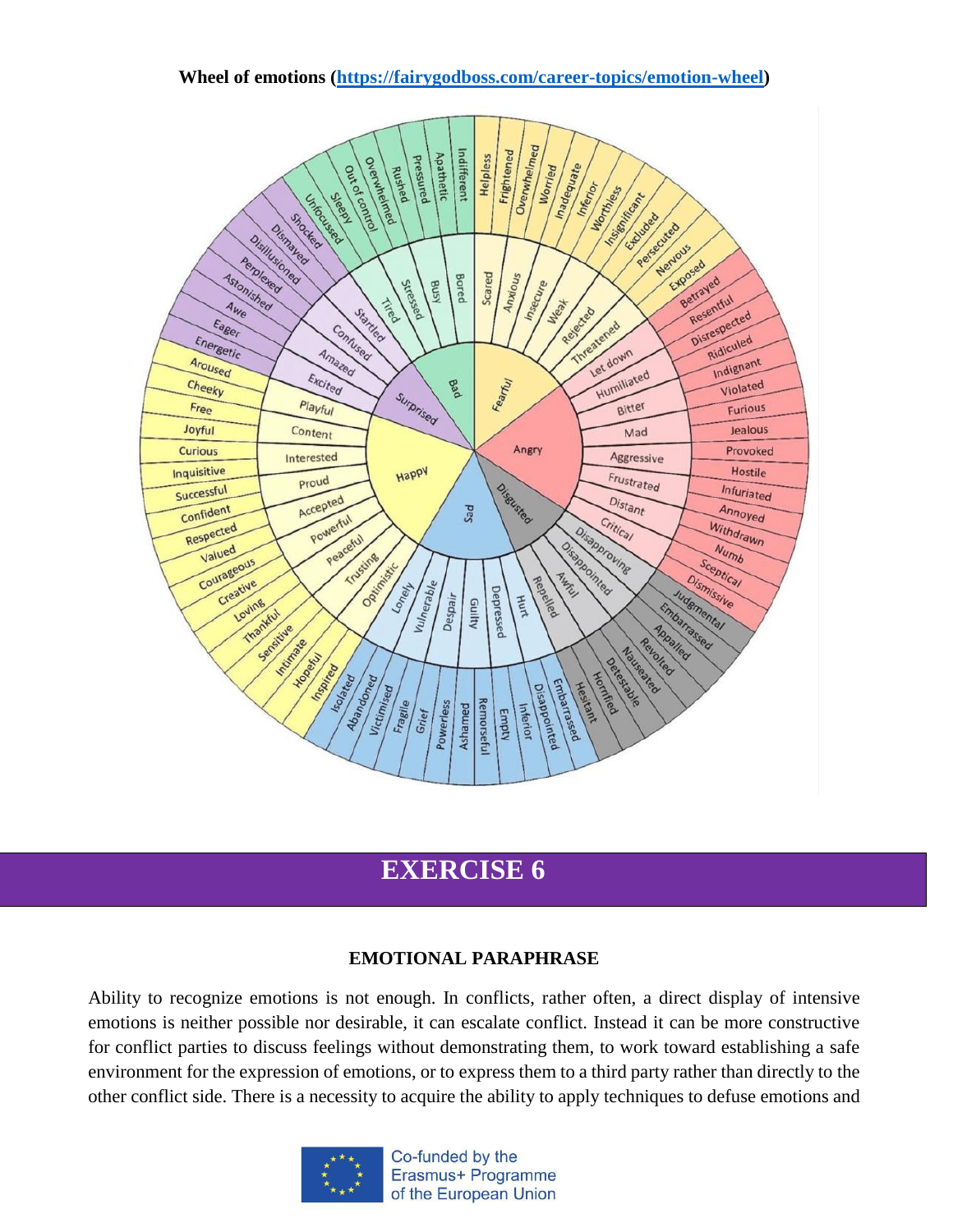#### **Wheel of emotions [\(https://fairygodboss.com/career-topics/emotion-wheel\)](https://fairygodboss.com/career-topics/emotion-wheel)**



## **EXERCISE 6**

#### **EMOTIONAL PARAPHRASE**

Ability to recognize emotions is not enough. In conflicts, rather often, a direct display of intensive emotions is neither possible nor desirable, it can escalate conflict. Instead it can be more constructive for conflict parties to discuss feelings without demonstrating them, to work toward establishing a safe environment for the expression of emotions, or to express them to a third party rather than directly to the other conflict side. There is a necessity to acquire the ability to apply techniques to defuse emotions and

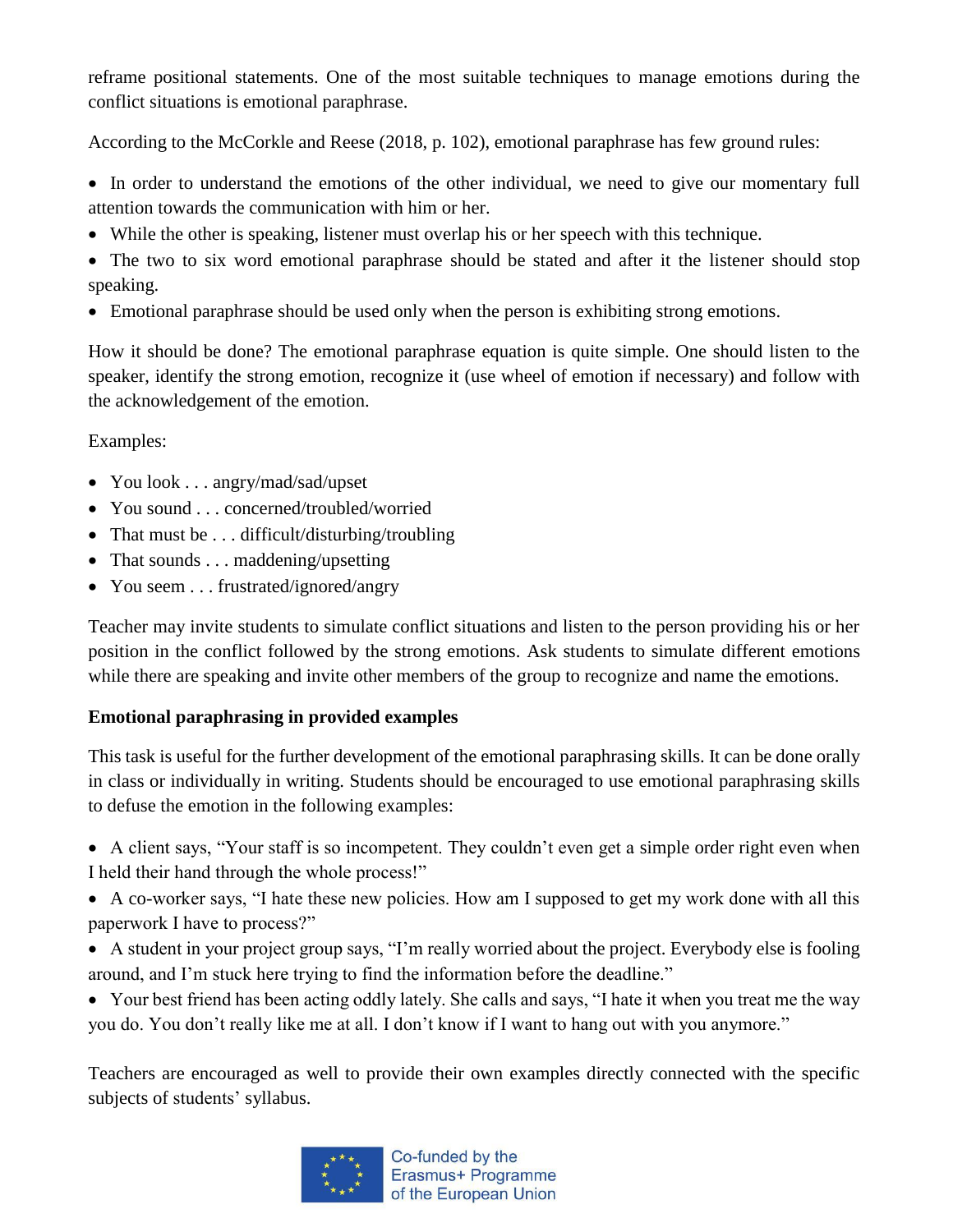reframe positional statements. One of the most suitable techniques to manage emotions during the conflict situations is emotional paraphrase.

According to the McCorkle and Reese (2018, p. 102), emotional paraphrase has few ground rules:

- In order to understand the emotions of the other individual, we need to give our momentary full attention towards the communication with him or her.
- While the other is speaking, listener must overlap his or her speech with this technique.
- The two to six word emotional paraphrase should be stated and after it the listener should stop speaking.
- Emotional paraphrase should be used only when the person is exhibiting strong emotions.

How it should be done? The emotional paraphrase equation is quite simple. One should listen to the speaker, identify the strong emotion, recognize it (use wheel of emotion if necessary) and follow with the acknowledgement of the emotion.

Examples:

- You look . . . angry/mad/sad/upset
- You sound . . . concerned/troubled/worried
- That must be ... difficult/disturbing/troubling
- That sounds . . . maddening/upsetting
- You seem . . . frustrated/ignored/angry

Teacher may invite students to simulate conflict situations and listen to the person providing his or her position in the conflict followed by the strong emotions. Ask students to simulate different emotions while there are speaking and invite other members of the group to recognize and name the emotions.

## **Emotional paraphrasing in provided examples**

This task is useful for the further development of the emotional paraphrasing skills. It can be done orally in class or individually in writing. Students should be encouraged to use emotional paraphrasing skills to defuse the emotion in the following examples:

- A client says, "Your staff is so incompetent. They couldn't even get a simple order right even when I held their hand through the whole process!"
- A co-worker says, "I hate these new policies. How am I supposed to get my work done with all this paperwork I have to process?"
- A student in your project group says, "I'm really worried about the project. Everybody else is fooling around, and I'm stuck here trying to find the information before the deadline."
- Your best friend has been acting oddly lately. She calls and says, "I hate it when you treat me the way you do. You don't really like me at all. I don't know if I want to hang out with you anymore."

Teachers are encouraged as well to provide their own examples directly connected with the specific subjects of students' syllabus.

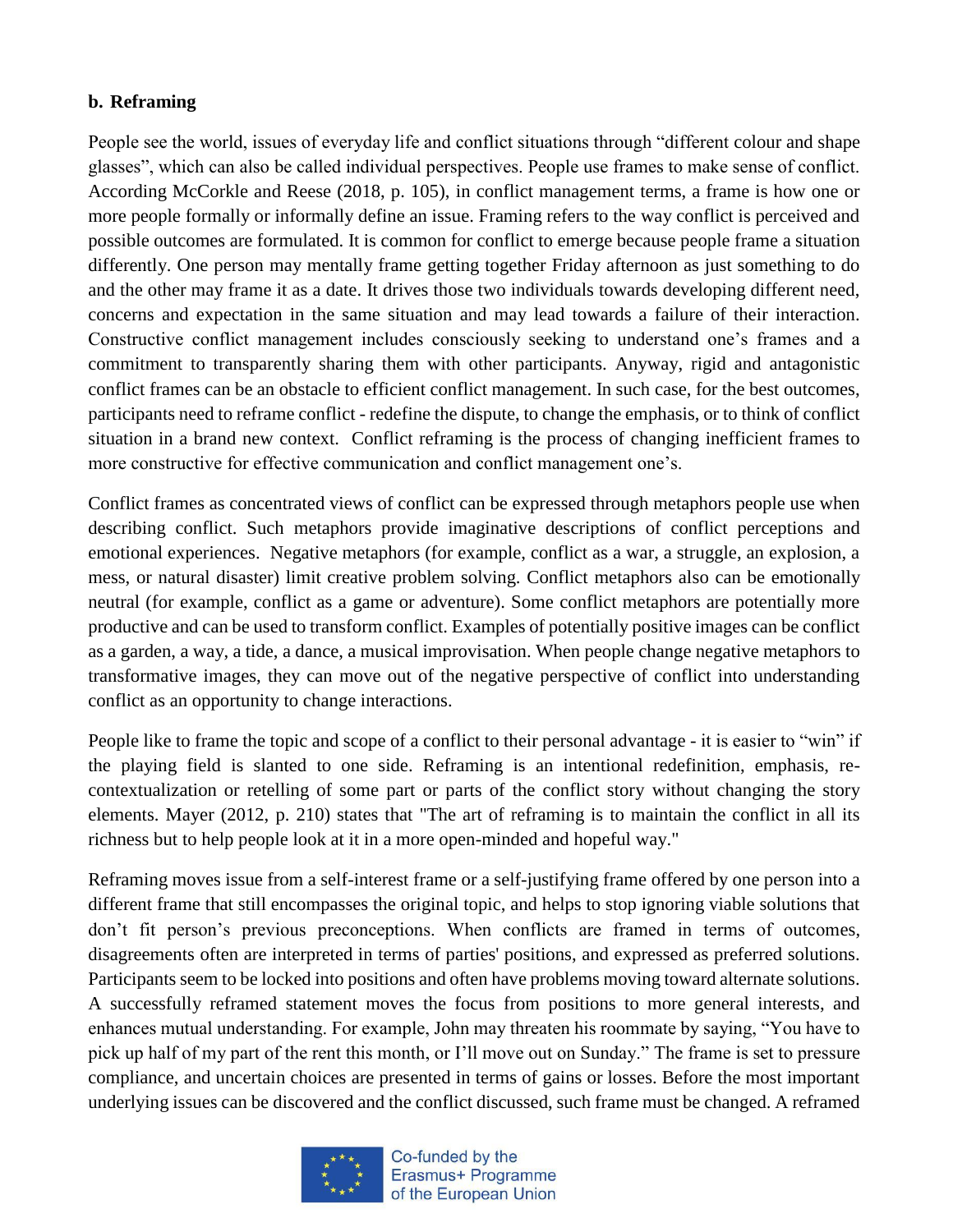### **b. Reframing**

People see the world, issues of everyday life and conflict situations through "different colour and shape glasses", which can also be called individual perspectives. People use frames to make sense of conflict. According McCorkle and Reese (2018, p. 105), in conflict management terms, a frame is how one or more people formally or informally define an issue. Framing refers to the way conflict is perceived and possible outcomes are formulated. It is common for conflict to emerge because people frame a situation differently. One person may mentally frame getting together Friday afternoon as just something to do and the other may frame it as a date. It drives those two individuals towards developing different need, concerns and expectation in the same situation and may lead towards a failure of their interaction. Constructive conflict management includes consciously seeking to understand one's frames and a commitment to transparently sharing them with other participants. Anyway, rigid and antagonistic conflict frames can be an obstacle to efficient conflict management. In such case, for the best outcomes, participants need to reframe conflict - redefine the dispute, to change the emphasis, or to think of conflict situation in a brand new context. Conflict reframing is the process of changing inefficient frames to more constructive for effective communication and conflict management one's.

Conflict frames as concentrated views of conflict can be expressed through metaphors people use when describing conflict. Such metaphors provide imaginative descriptions of conflict perceptions and emotional experiences. Negative metaphors (for example, conflict as a war, a struggle, an explosion, a mess, or natural disaster) limit creative problem solving. Conflict metaphors also can be emotionally neutral (for example, conflict as a game or adventure). Some conflict metaphors are potentially more productive and can be used to transform conflict. Examples of potentially positive images can be conflict as a garden, a way, a tide, a dance, a musical improvisation. When people change negative metaphors to transformative images, they can move out of the negative perspective of conflict into understanding conflict as an opportunity to change interactions.

People like to frame the topic and scope of a conflict to their personal advantage - it is easier to "win" if the playing field is slanted to one side. Reframing is an intentional redefinition, emphasis, recontextualization or retelling of some part or parts of the conflict story without changing the story elements. Mayer (2012, p. 210) states that "The art of reframing is to maintain the conflict in all its richness but to help people look at it in a more open-minded and hopeful way."

Reframing moves issue from a self-interest frame or a self-justifying frame offered by one person into a different frame that still encompasses the original topic, and helps to stop ignoring viable solutions that don't fit person's previous preconceptions. When conflicts are framed in terms of outcomes, disagreements often are interpreted in terms of parties' positions, and expressed as preferred solutions. Participants seem to be locked into positions and often have problems moving toward alternate solutions. A successfully reframed statement moves the focus from positions to more general interests, and enhances mutual understanding. For example, John may threaten his roommate by saying, "You have to pick up half of my part of the rent this month, or I'll move out on Sunday." The frame is set to pressure compliance, and uncertain choices are presented in terms of gains or losses. Before the most important underlying issues can be discovered and the conflict discussed, such frame must be changed. A reframed



Co-funded by the Erasmus+ Programme of the European Union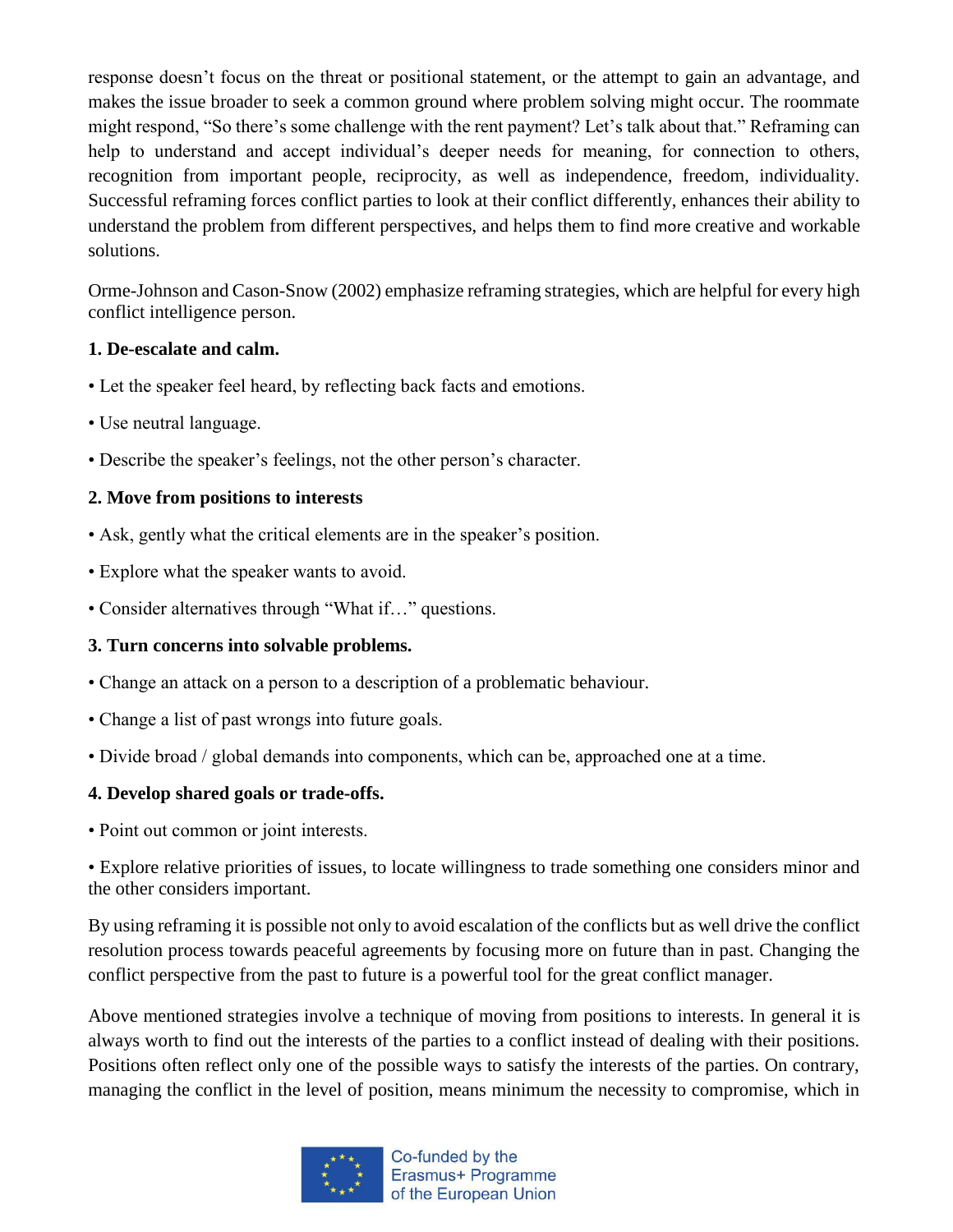response doesn't focus on the threat or positional statement, or the attempt to gain an advantage, and makes the issue broader to seek a common ground where problem solving might occur. The roommate might respond, "So there's some challenge with the rent payment? Let's talk about that." Reframing can help to understand and accept individual's deeper needs for meaning, for connection to others, recognition from important people, reciprocity, as well as independence, freedom, individuality. Successful reframing forces conflict parties to look at their conflict differently, enhances their ability to understand the problem from different perspectives, and helps them to find more creative and workable solutions.

Orme-Johnson and Cason-Snow (2002) emphasize reframing strategies, which are helpful for every high conflict intelligence person.

### **1. De-escalate and calm.**

- Let the speaker feel heard, by reflecting back facts and emotions.
- Use neutral language.
- Describe the speaker's feelings, not the other person's character.

### **2. Move from positions to interests**

- Ask, gently what the critical elements are in the speaker's position.
- Explore what the speaker wants to avoid.
- Consider alternatives through "What if..." questions.

## **3. Turn concerns into solvable problems.**

- Change an attack on a person to a description of a problematic behaviour.
- Change a list of past wrongs into future goals.
- Divide broad / global demands into components, which can be, approached one at a time.

## **4. Develop shared goals or trade-offs.**

• Point out common or joint interests.

• Explore relative priorities of issues, to locate willingness to trade something one considers minor and the other considers important.

By using reframing it is possible not only to avoid escalation of the conflicts but as well drive the conflict resolution process towards peaceful agreements by focusing more on future than in past. Changing the conflict perspective from the past to future is a powerful tool for the great conflict manager.

Above mentioned strategies involve a technique of moving from positions to interests. In general it is always worth to find out the interests of the parties to a conflict instead of dealing with their positions. Positions often reflect only one of the possible ways to satisfy the interests of the parties. On contrary, managing the conflict in the level of position, means minimum the necessity to compromise, which in

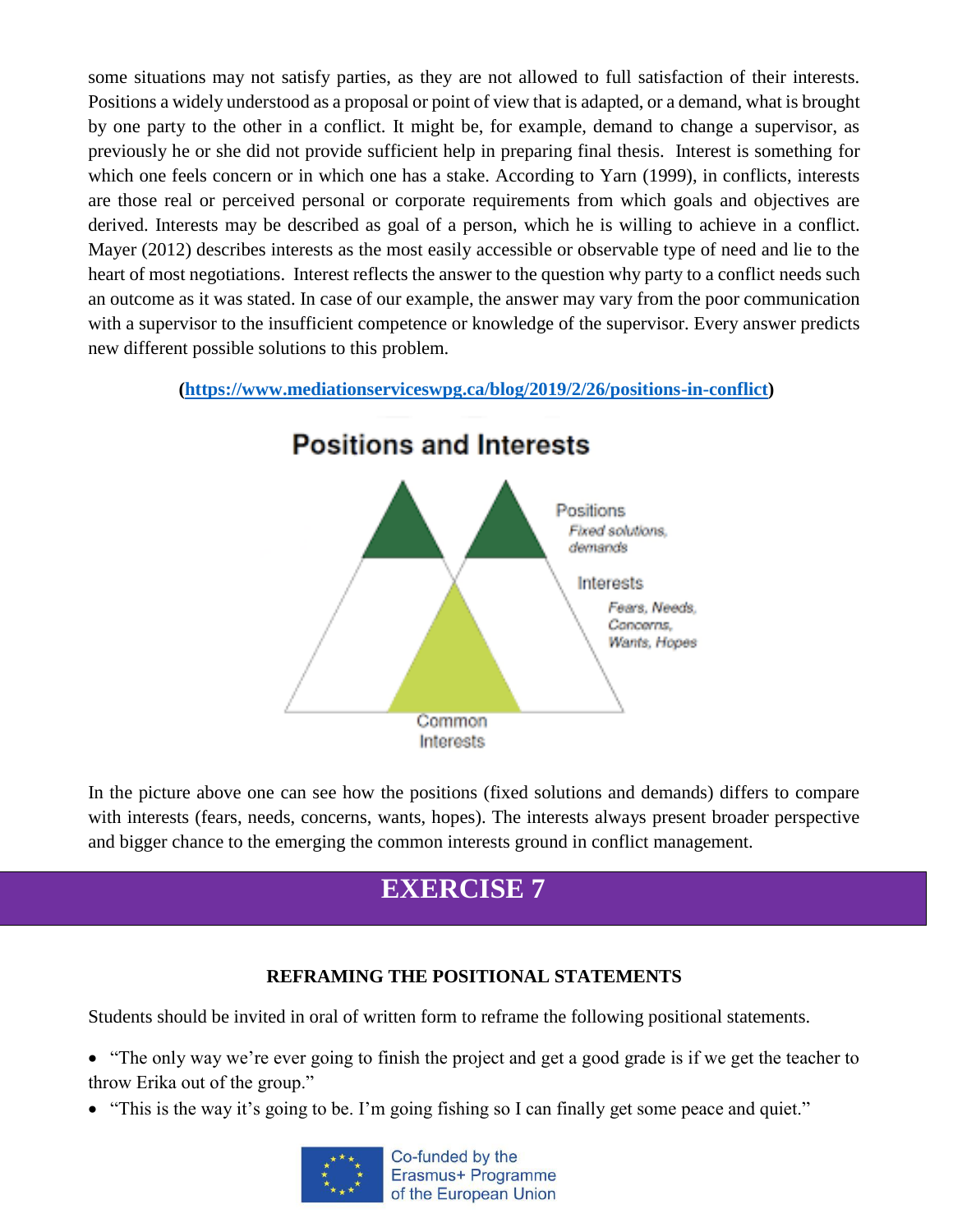some situations may not satisfy parties, as they are not allowed to full satisfaction of their interests. Positions a widely understood as a proposal or point of view that is adapted, or a demand, what is brought by one party to the other in a conflict. It might be, for example, demand to change a supervisor, as previously he or she did not provide sufficient help in preparing final thesis. Interest is something for which one feels concern or in which one has a stake. According to Yarn (1999), in conflicts, interests are those real or perceived personal or corporate requirements from which goals and objectives are derived. Interests may be described as goal of a person, which he is willing to achieve in a conflict. Mayer (2012) describes interests as the most easily accessible or observable type of need and lie to the heart of most negotiations. Interest reflects the answer to the question why party to a conflict needs such an outcome as it was stated. In case of our example, the answer may vary from the poor communication with a supervisor to the insufficient competence or knowledge of the supervisor. Every answer predicts new different possible solutions to this problem.

#### **[\(https://www.mediationserviceswpg.ca/blog/2019/2/26/positions-in-conflict\)](https://www.mediationserviceswpg.ca/blog/2019/2/26/positions-in-conflict)**



In the picture above one can see how the positions (fixed solutions and demands) differs to compare with interests (fears, needs, concerns, wants, hopes). The interests always present broader perspective and bigger chance to the emerging the common interests ground in conflict management.

## **EXERCISE 7**

## **REFRAMING THE POSITIONAL STATEMENTS**

Students should be invited in oral of written form to reframe the following positional statements.

- "The only way we're ever going to finish the project and get a good grade is if we get the teacher to throw Erika out of the group."
- "This is the way it's going to be. I'm going fishing so I can finally get some peace and quiet."

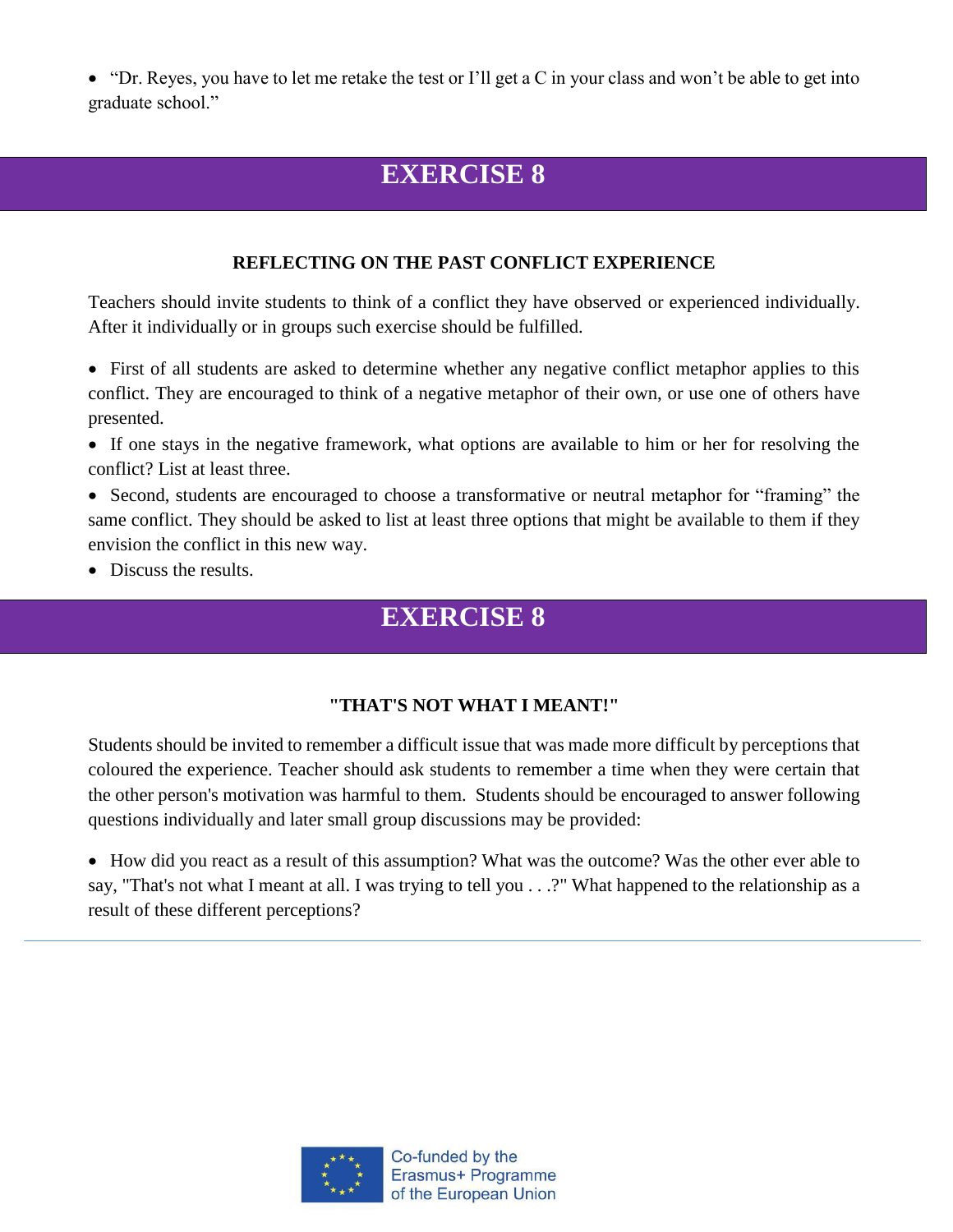• "Dr. Reyes, you have to let me retake the test or I'll get a C in your class and won't be able to get into graduate school."

## **EXERCISE 8**

## **REFLECTING ON THE PAST CONFLICT EXPERIENCE**

Teachers should invite students to think of a conflict they have observed or experienced individually. After it individually or in groups such exercise should be fulfilled.

- First of all students are asked to determine whether any negative conflict metaphor applies to this conflict. They are encouraged to think of a negative metaphor of their own, or use one of others have presented.
- If one stays in the negative framework, what options are available to him or her for resolving the conflict? List at least three.
- Second, students are encouraged to choose a transformative or neutral metaphor for "framing" the same conflict. They should be asked to list at least three options that might be available to them if they envision the conflict in this new way.
- Discuss the results.

## **EXERCISE 8**

## **"THAT'S NOT WHAT I MEANT!"**

Students should be invited to remember a difficult issue that was made more difficult by perceptions that coloured the experience. Teacher should ask students to remember a time when they were certain that the other person's motivation was harmful to them. Students should be encouraged to answer following questions individually and later small group discussions may be provided:

• How did you react as a result of this assumption? What was the outcome? Was the other ever able to say, "That's not what I meant at all. I was trying to tell you . . .?" What happened to the relationship as a result of these different perceptions?

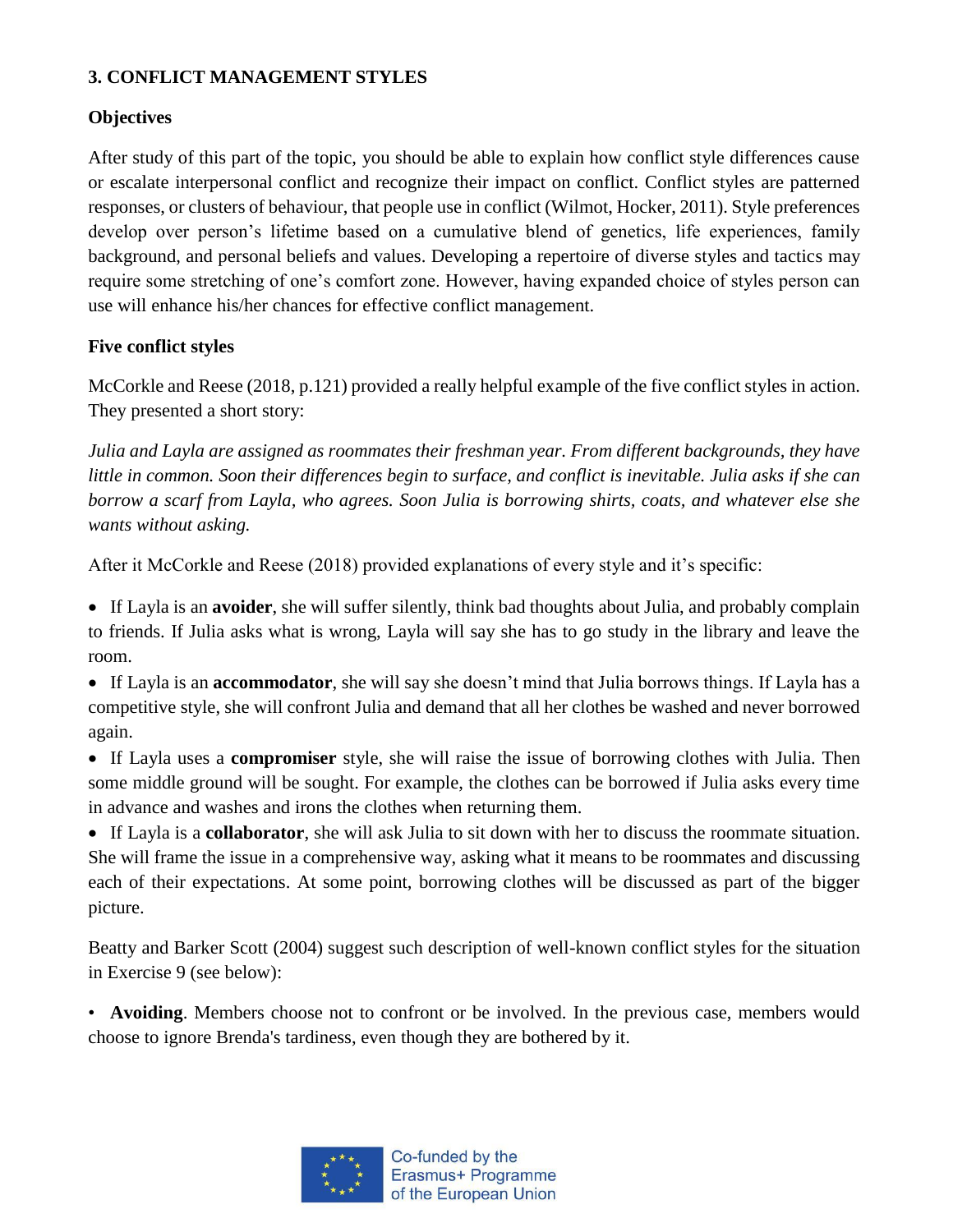## **3. CONFLICT MANAGEMENT STYLES**

## **Objectives**

After study of this part of the topic, you should be able to explain how conflict style differences cause or escalate interpersonal conflict and recognize their impact on conflict. Conflict styles are patterned responses, or clusters of behaviour, that people use in conflict (Wilmot, Hocker, 2011). Style preferences develop over person's lifetime based on a cumulative blend of genetics, life experiences, family background, and personal beliefs and values. Developing a repertoire of diverse styles and tactics may require some stretching of one's comfort zone. However, having expanded choice of styles person can use will enhance his/her chances for effective conflict management.

## **Five conflict styles**

McCorkle and Reese (2018, p.121) provided a really helpful example of the five conflict styles in action. They presented a short story:

*Julia and Layla are assigned as roommates their freshman year. From different backgrounds, they have little in common. Soon their differences begin to surface, and conflict is inevitable. Julia asks if she can borrow a scarf from Layla, who agrees. Soon Julia is borrowing shirts, coats, and whatever else she wants without asking.*

After it McCorkle and Reese (2018) provided explanations of every style and it's specific:

 If Layla is an **avoider**, she will suffer silently, think bad thoughts about Julia, and probably complain to friends. If Julia asks what is wrong, Layla will say she has to go study in the library and leave the room.

 If Layla is an **accommodator**, she will say she doesn't mind that Julia borrows things. If Layla has a competitive style, she will confront Julia and demand that all her clothes be washed and never borrowed again.

 If Layla uses a **compromiser** style, she will raise the issue of borrowing clothes with Julia. Then some middle ground will be sought. For example, the clothes can be borrowed if Julia asks every time in advance and washes and irons the clothes when returning them.

 If Layla is a **collaborator**, she will ask Julia to sit down with her to discuss the roommate situation. She will frame the issue in a comprehensive way, asking what it means to be roommates and discussing each of their expectations. At some point, borrowing clothes will be discussed as part of the bigger picture.

Beatty and Barker Scott (2004) suggest such description of well-known conflict styles for the situation in Exercise 9 (see below):

• **Avoiding**. Members choose not to confront or be involved. In the previous case, members would choose to ignore Brenda's tardiness, even though they are bothered by it.

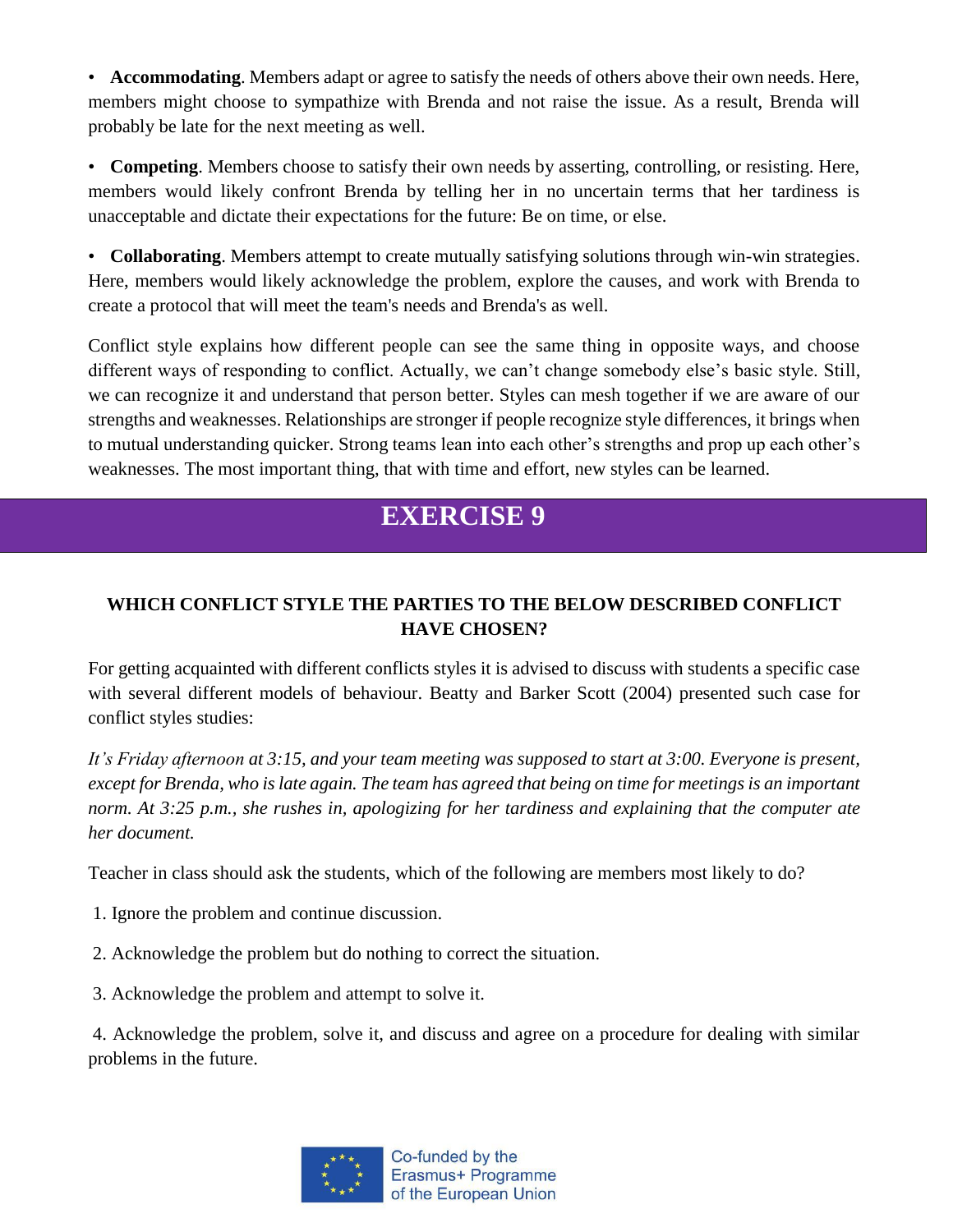• **Accommodating**. Members adapt or agree to satisfy the needs of others above their own needs. Here, members might choose to sympathize with Brenda and not raise the issue. As a result, Brenda will probably be late for the next meeting as well.

• **Competing**. Members choose to satisfy their own needs by asserting, controlling, or resisting. Here, members would likely confront Brenda by telling her in no uncertain terms that her tardiness is unacceptable and dictate their expectations for the future: Be on time, or else.

• **Collaborating**. Members attempt to create mutually satisfying solutions through win-win strategies. Here, members would likely acknowledge the problem, explore the causes, and work with Brenda to create a protocol that will meet the team's needs and Brenda's as well.

Conflict style explains how different people can see the same thing in opposite ways, and choose different ways of responding to conflict. Actually, we can't change somebody else's basic style. Still, we can recognize it and understand that person better. Styles can mesh together if we are aware of our strengths and weaknesses. Relationships are stronger if people recognize style differences, it brings when to mutual understanding quicker. Strong teams lean into each other's strengths and prop up each other's weaknesses. The most important thing, that with time and effort, new styles can be learned.

## **EXERCISE 9**

## **WHICH CONFLICT STYLE THE PARTIES TO THE BELOW DESCRIBED CONFLICT HAVE CHOSEN?**

For getting acquainted with different conflicts styles it is advised to discuss with students a specific case with several different models of behaviour. Beatty and Barker Scott (2004) presented such case for conflict styles studies:

*It's Friday afternoon at 3:15, and your team meeting was supposed to start at 3:00. Everyone is present, except for Brenda, who is late again. The team has agreed that being on time for meetings is an important norm. At 3:25 p.m., she rushes in, apologizing for her tardiness and explaining that the computer ate her document.*

Teacher in class should ask the students, which of the following are members most likely to do?

- 1. Ignore the problem and continue discussion.
- 2. Acknowledge the problem but do nothing to correct the situation.
- 3. Acknowledge the problem and attempt to solve it.

4. Acknowledge the problem, solve it, and discuss and agree on a procedure for dealing with similar problems in the future.

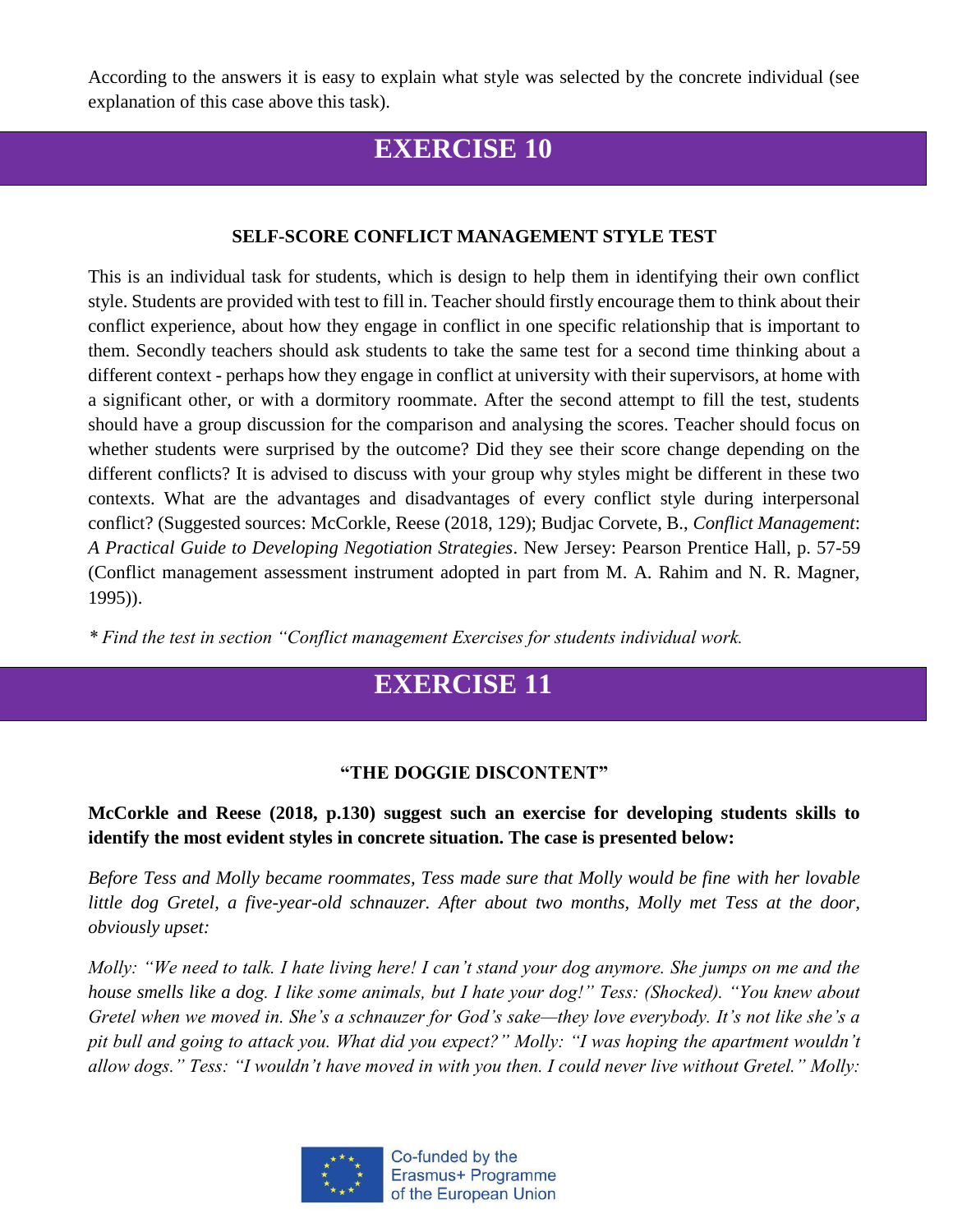According to the answers it is easy to explain what style was selected by the concrete individual (see explanation of this case above this task).

## **EXERCISE 10**

### **SELF-SCORE CONFLICT MANAGEMENT STYLE TEST**

This is an individual task for students, which is design to help them in identifying their own conflict style. Students are provided with test to fill in. Teacher should firstly encourage them to think about their conflict experience, about how they engage in conflict in one specific relationship that is important to them. Secondly teachers should ask students to take the same test for a second time thinking about a different context - perhaps how they engage in conflict at university with their supervisors, at home with a significant other, or with a dormitory roommate. After the second attempt to fill the test, students should have a group discussion for the comparison and analysing the scores. Teacher should focus on whether students were surprised by the outcome? Did they see their score change depending on the different conflicts? It is advised to discuss with your group why styles might be different in these two contexts. What are the advantages and disadvantages of every conflict style during interpersonal conflict? (Suggested sources: McCorkle, Reese (2018, 129); Budjac Corvete, B., *Conflict Management*: *A Practical Guide to Developing Negotiation Strategies*. New Jersey: Pearson Prentice Hall, p. 57-59 (Conflict management assessment instrument adopted in part from M. A. Rahim and N. R. Magner, 1995)).

*\* Find the test in section "Conflict management Exercises for students individual work.*

## **EXERCISE 11**

## **"THE DOGGIE DISCONTENT"**

**McCorkle and Reese (2018, p.130) suggest such an exercise for developing students skills to identify the most evident styles in concrete situation. The case is presented below:**

*Before Tess and Molly became roommates, Tess made sure that Molly would be fine with her lovable little dog Gretel, a five-year-old schnauzer. After about two months, Molly met Tess at the door, obviously upset:*

*Molly: "We need to talk. I hate living here! I can't stand your dog anymore. She jumps on me and the house smells like a dog. I like some animals, but I hate your dog!" Tess: (Shocked). "You knew about Gretel when we moved in. She's a schnauzer for God's sake—they love everybody. It's not like she's a pit bull and going to attack you. What did you expect?" Molly: "I was hoping the apartment wouldn't allow dogs." Tess: "I wouldn't have moved in with you then. I could never live without Gretel." Molly:* 

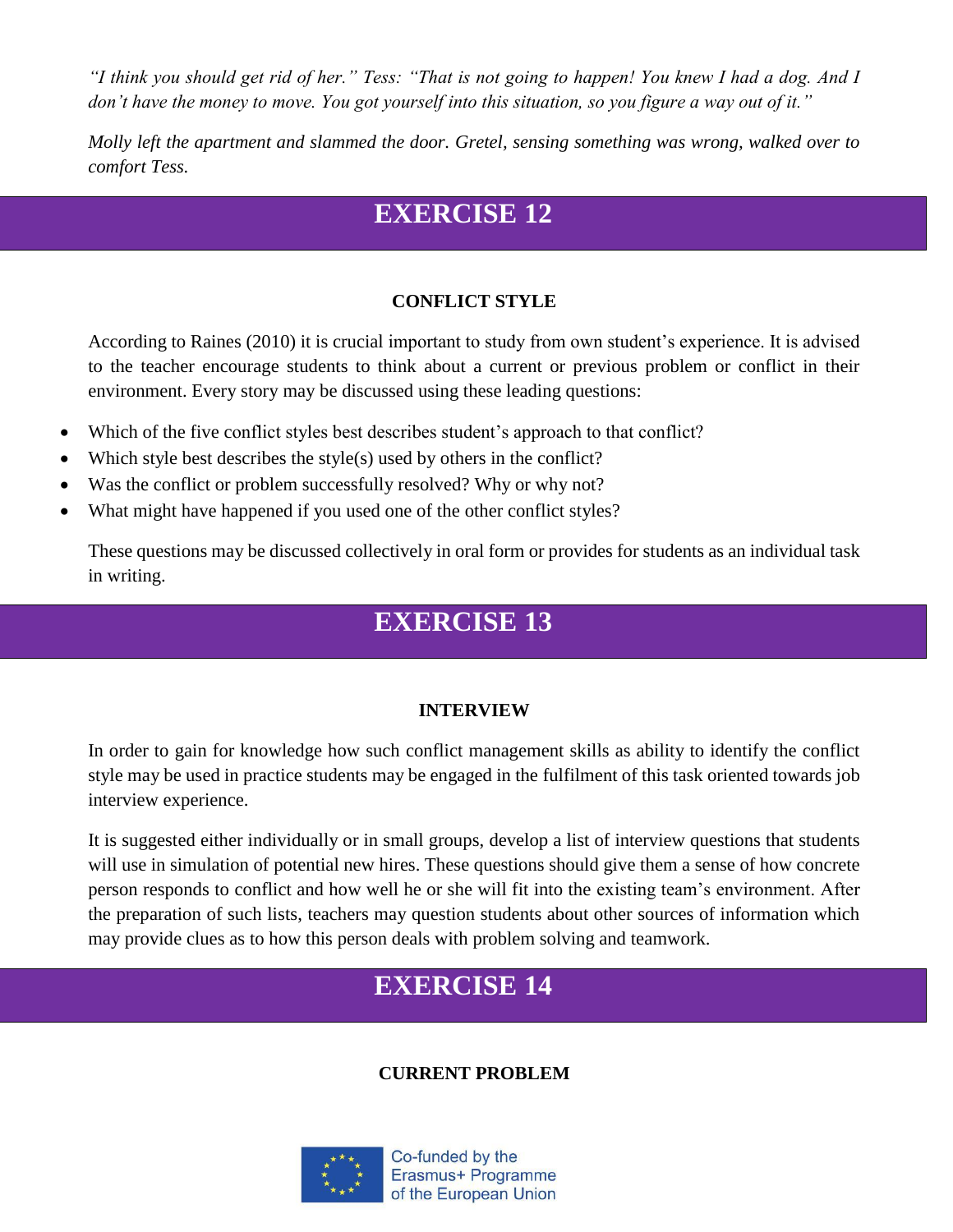*"I think you should get rid of her." Tess: "That is not going to happen! You knew I had a dog. And I don't have the money to move. You got yourself into this situation, so you figure a way out of it."*

*Molly left the apartment and slammed the door. Gretel, sensing something was wrong, walked over to comfort Tess.*

# **EXERCISE 12**

## **CONFLICT STYLE**

According to Raines (2010) it is crucial important to study from own student's experience. It is advised to the teacher encourage students to think about a current or previous problem or conflict in their environment. Every story may be discussed using these leading questions:

- Which of the five conflict styles best describes student's approach to that conflict?
- $\bullet$  Which style best describes the style(s) used by others in the conflict?
- Was the conflict or problem successfully resolved? Why or why not?
- What might have happened if you used one of the other conflict styles?

These questions may be discussed collectively in oral form or provides for students as an individual task in writing.

# **EXERCISE 13**

## **INTERVIEW**

In order to gain for knowledge how such conflict management skills as ability to identify the conflict style may be used in practice students may be engaged in the fulfilment of this task oriented towards job interview experience.

It is suggested either individually or in small groups, develop a list of interview questions that students will use in simulation of potential new hires. These questions should give them a sense of how concrete person responds to conflict and how well he or she will fit into the existing team's environment. After the preparation of such lists, teachers may question students about other sources of information which may provide clues as to how this person deals with problem solving and teamwork.

# **EXERCISE 14**

## **CURRENT PROBLEM**

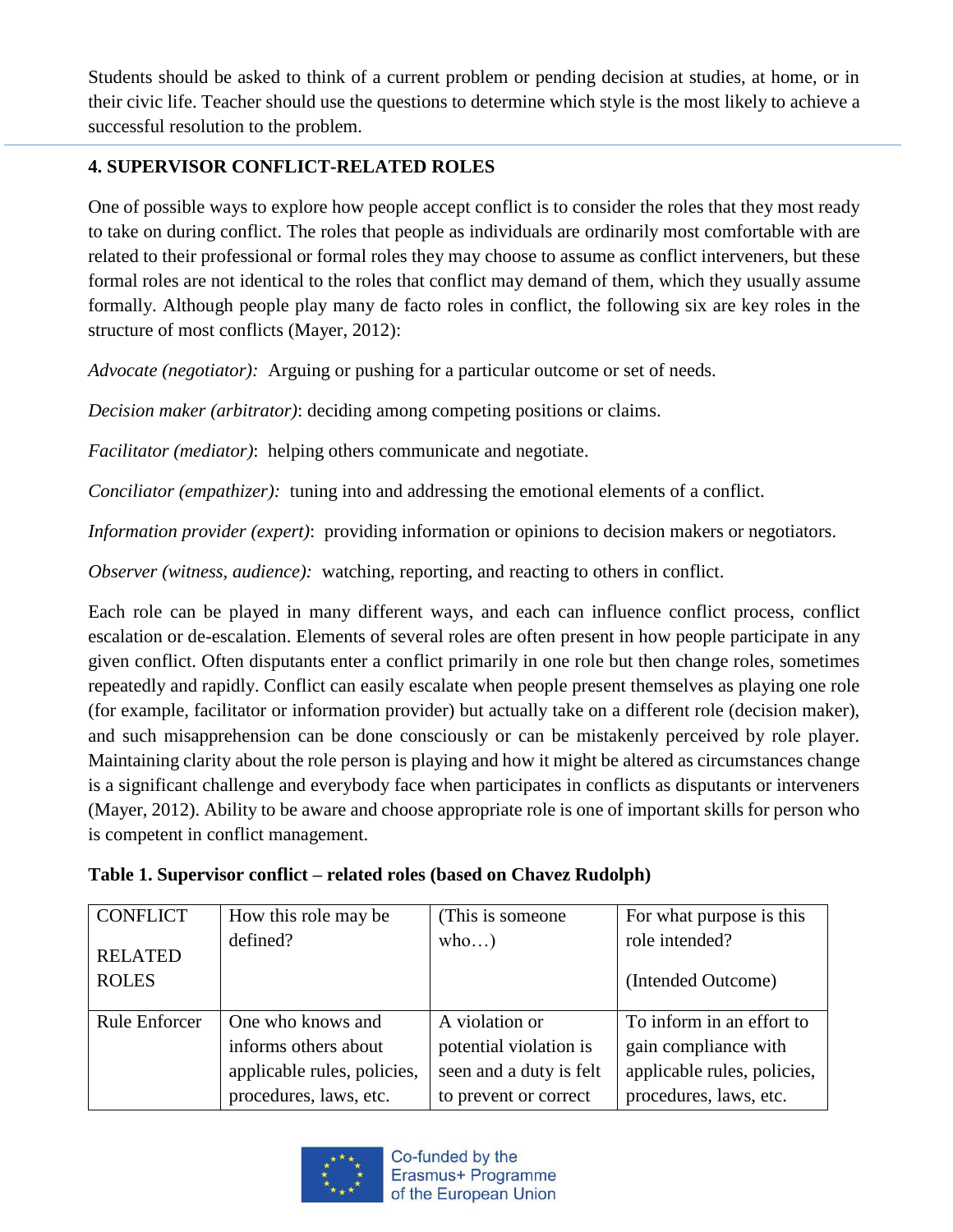Students should be asked to think of a current problem or pending decision at studies, at home, or in their civic life. Teacher should use the questions to determine which style is the most likely to achieve a successful resolution to the problem.

## **4. SUPERVISOR CONFLICT-RELATED ROLES**

One of possible ways to explore how people accept conflict is to consider the roles that they most ready to take on during conflict. The roles that people as individuals are ordinarily most comfortable with are related to their professional or formal roles they may choose to assume as conflict interveners, but these formal roles are not identical to the roles that conflict may demand of them, which they usually assume formally. Although people play many de facto roles in conflict, the following six are key roles in the structure of most conflicts (Mayer, 2012):

*Advocate (negotiator):* Arguing or pushing for a particular outcome or set of needs.

*Decision maker (arbitrator)*: deciding among competing positions or claims.

*Facilitator (mediator)*: helping others communicate and negotiate.

*Conciliator (empathizer):* tuning into and addressing the emotional elements of a conflict.

*Information provider (expert)*: providing information or opinions to decision makers or negotiators.

*Observer (witness, audience):* watching, reporting, and reacting to others in conflict.

Each role can be played in many different ways, and each can influence conflict process, conflict escalation or de-escalation. Elements of several roles are often present in how people participate in any given conflict. Often disputants enter a conflict primarily in one role but then change roles, sometimes repeatedly and rapidly. Conflict can easily escalate when people present themselves as playing one role (for example, facilitator or information provider) but actually take on a different role (decision maker), and such misapprehension can be done consciously or can be mistakenly perceived by role player. Maintaining clarity about the role person is playing and how it might be altered as circumstances change is a significant challenge and everybody face when participates in conflicts as disputants or interveners (Mayer, 2012). Ability to be aware and choose appropriate role is one of important skills for person who is competent in conflict management.

| Table 1. Supervisor conflict - related roles (based on Chavez Rudolph) |  |  |  |  |
|------------------------------------------------------------------------|--|--|--|--|
|                                                                        |  |  |  |  |

| <b>CONFLICT</b>                | How this role may be        | (This is someone)       | For what purpose is this             |
|--------------------------------|-----------------------------|-------------------------|--------------------------------------|
| <b>RELATED</b><br><b>ROLES</b> | defined?                    | $who$ )                 | role intended?<br>(Intended Outcome) |
|                                |                             |                         |                                      |
| <b>Rule Enforcer</b>           | One who knows and           | A violation or          | To inform in an effort to            |
|                                | informs others about        | potential violation is  | gain compliance with                 |
|                                | applicable rules, policies, | seen and a duty is felt | applicable rules, policies,          |
|                                | procedures, laws, etc.      | to prevent or correct   | procedures, laws, etc.               |

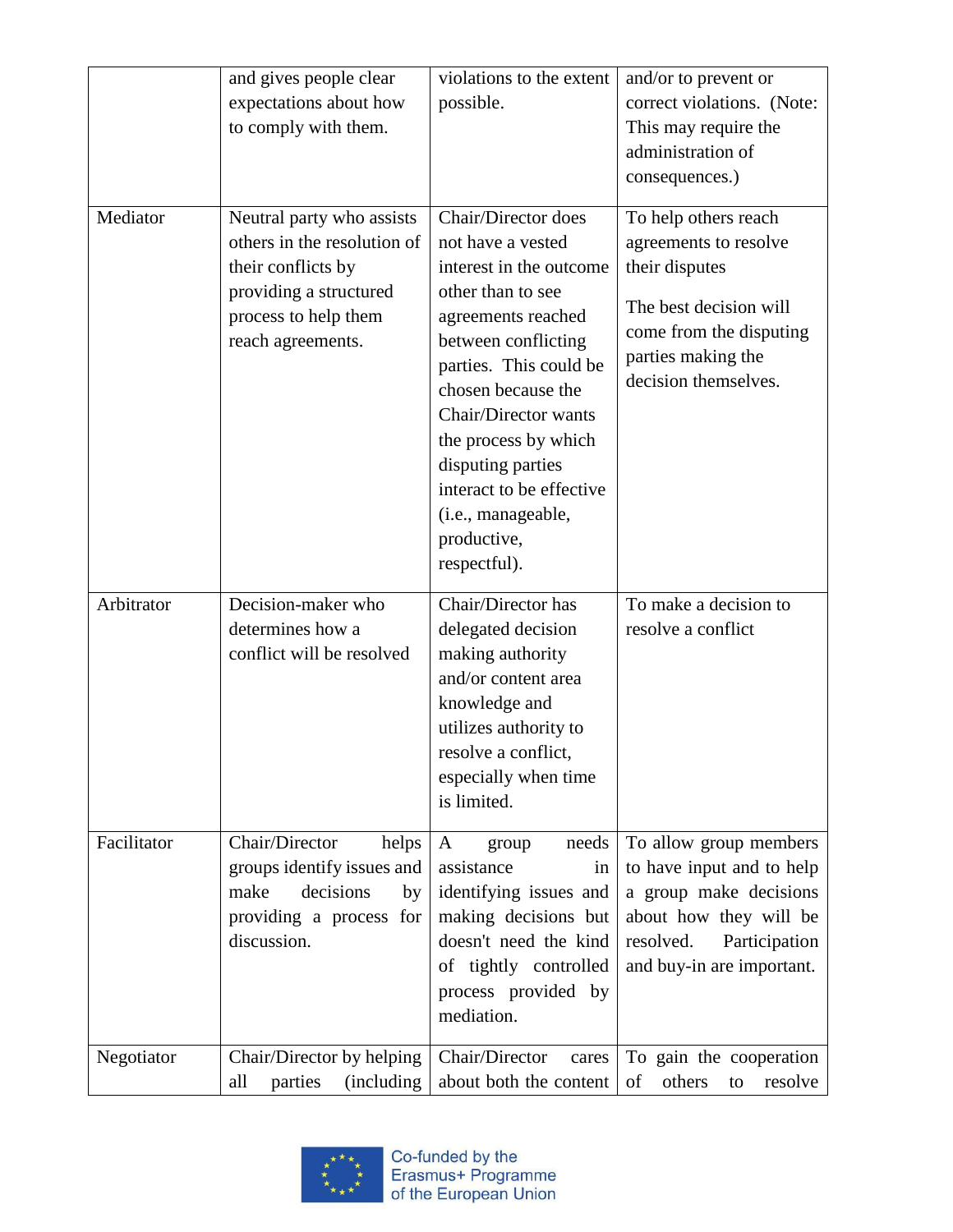|             | and gives people clear<br>expectations about how<br>to comply with them.                                                                              | violations to the extent<br>possible.                                                                                                                                                                                                                                                                                                       | and/or to prevent or<br>correct violations. (Note:<br>This may require the<br>administration of<br>consequences.)                                                  |
|-------------|-------------------------------------------------------------------------------------------------------------------------------------------------------|---------------------------------------------------------------------------------------------------------------------------------------------------------------------------------------------------------------------------------------------------------------------------------------------------------------------------------------------|--------------------------------------------------------------------------------------------------------------------------------------------------------------------|
| Mediator    | Neutral party who assists<br>others in the resolution of<br>their conflicts by<br>providing a structured<br>process to help them<br>reach agreements. | Chair/Director does<br>not have a vested<br>interest in the outcome<br>other than to see<br>agreements reached<br>between conflicting<br>parties. This could be<br>chosen because the<br>Chair/Director wants<br>the process by which<br>disputing parties<br>interact to be effective<br>(i.e., manageable,<br>productive,<br>respectful). | To help others reach<br>agreements to resolve<br>their disputes<br>The best decision will<br>come from the disputing<br>parties making the<br>decision themselves. |
| Arbitrator  | Decision-maker who<br>determines how a<br>conflict will be resolved                                                                                   | Chair/Director has<br>delegated decision<br>making authority<br>and/or content area<br>knowledge and<br>utilizes authority to<br>resolve a conflict,<br>especially when time<br>is limited.                                                                                                                                                 | To make a decision to<br>resolve a conflict                                                                                                                        |
| Facilitator | Chair/Director<br>helps<br>groups identify issues and<br>decisions<br>make<br>by<br>providing a process for<br>discussion.                            | $\mathbf{A}$<br>needs<br>group<br>assistance<br><sub>in</sub><br>identifying issues and<br>making decisions but<br>doesn't need the kind<br>of tightly controlled<br>process provided by<br>mediation.                                                                                                                                      | To allow group members<br>to have input and to help<br>a group make decisions<br>about how they will be<br>resolved.<br>Participation<br>and buy-in are important. |
| Negotiator  | Chair/Director by helping<br>parties<br>(including)<br>all                                                                                            | Chair/Director<br>cares<br>about both the content                                                                                                                                                                                                                                                                                           | To gain the cooperation<br>of<br>others<br>resolve<br>to                                                                                                           |

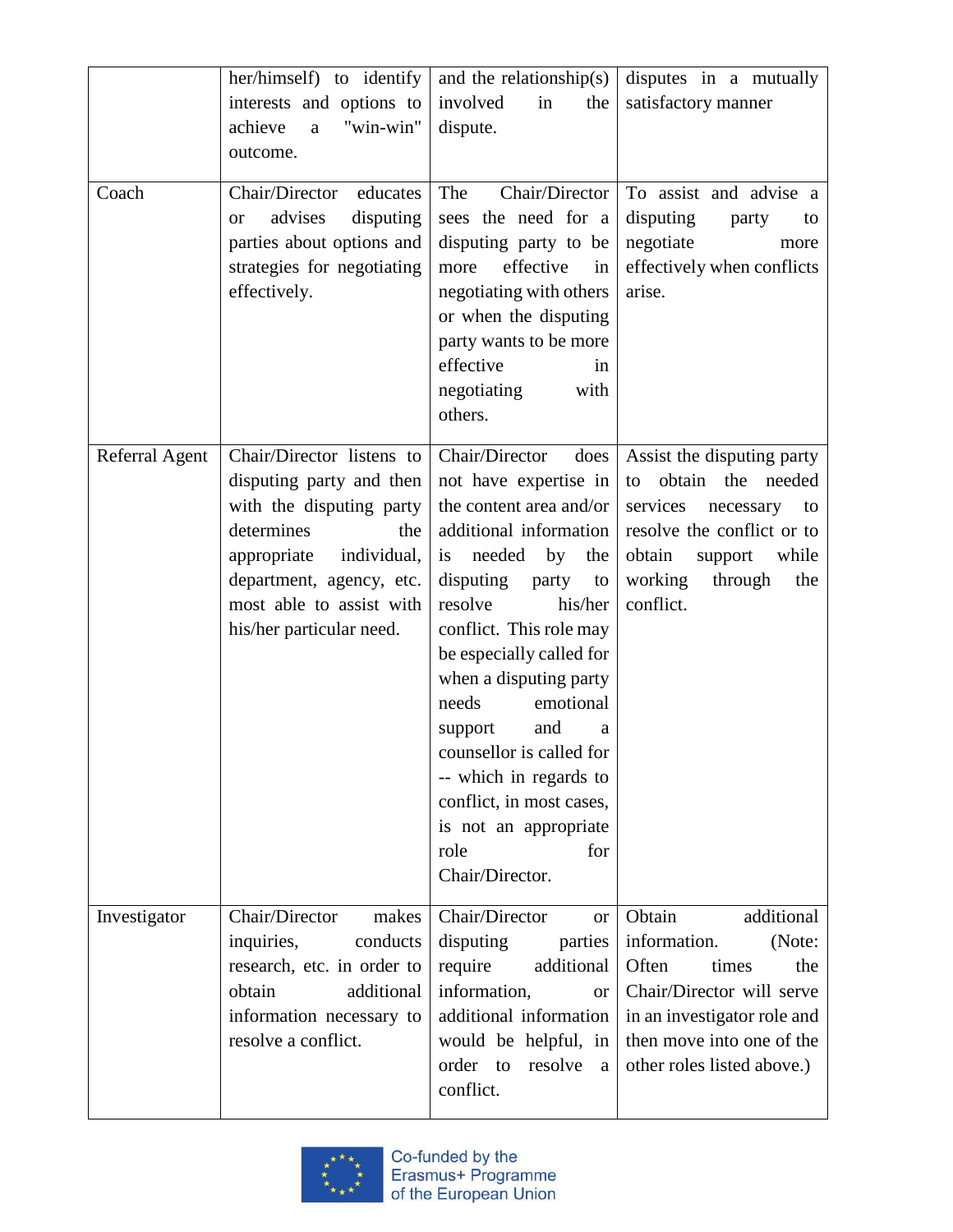|                | her/himself) to identify<br>interests and options to<br>"win-win"<br>achieve<br>a<br>outcome.                                                                                                                            | and the relationship(s)<br>involved<br>the<br>in<br>dispute.                                                                                                                                                                                                                                                                                                                                                                                                   | disputes in a mutually<br>satisfactory manner                                                                                                                                                  |
|----------------|--------------------------------------------------------------------------------------------------------------------------------------------------------------------------------------------------------------------------|----------------------------------------------------------------------------------------------------------------------------------------------------------------------------------------------------------------------------------------------------------------------------------------------------------------------------------------------------------------------------------------------------------------------------------------------------------------|------------------------------------------------------------------------------------------------------------------------------------------------------------------------------------------------|
| Coach          | Chair/Director<br>educates<br>advises<br>disputing<br><b>or</b><br>parties about options and<br>strategies for negotiating<br>effectively.                                                                               | Chair/Director<br>The<br>sees the need for a<br>disputing party to be<br>effective<br>more<br>in<br>negotiating with others<br>or when the disputing<br>party wants to be more<br>effective<br>in<br>negotiating<br>with<br>others.                                                                                                                                                                                                                            | To assist and advise a<br>disputing<br>party<br>to<br>negotiate<br>more<br>effectively when conflicts<br>arise.                                                                                |
| Referral Agent | Chair/Director listens to<br>disputing party and then<br>with the disputing party<br>determines<br>the<br>appropriate<br>individual,<br>department, agency, etc.<br>most able to assist with<br>his/her particular need. | Chair/Director<br>does<br>not have expertise in<br>the content area and/or<br>additional information<br>needed<br>by<br>the<br>is<br>disputing<br>party<br>to<br>resolve<br>his/her<br>conflict. This role may<br>be especially called for<br>when a disputing party<br>needs<br>emotional<br>and<br>support<br>a<br>counsellor is called for<br>-- which in regards to<br>conflict, in most cases,<br>is not an appropriate<br>for<br>role<br>Chair/Director. | Assist the disputing party<br>obtain the needed<br>to<br>services<br>necessary<br>to<br>resolve the conflict or to<br>obtain<br>while<br>support<br>working<br>through<br>the<br>conflict.     |
| Investigator   | Chair/Director<br>makes<br>inquiries,<br>conducts<br>research, etc. in order to<br>obtain<br>additional<br>information necessary to<br>resolve a conflict.                                                               | Chair/Director<br><sub>or</sub><br>disputing<br>parties<br>require<br>additional<br>information,<br><b>or</b><br>additional information<br>would be helpful, in<br>order to<br>resolve<br>a<br>conflict.                                                                                                                                                                                                                                                       | additional<br>Obtain<br>information.<br>(Note:<br>Often<br>the<br>times<br>Chair/Director will serve<br>in an investigator role and<br>then move into one of the<br>other roles listed above.) |

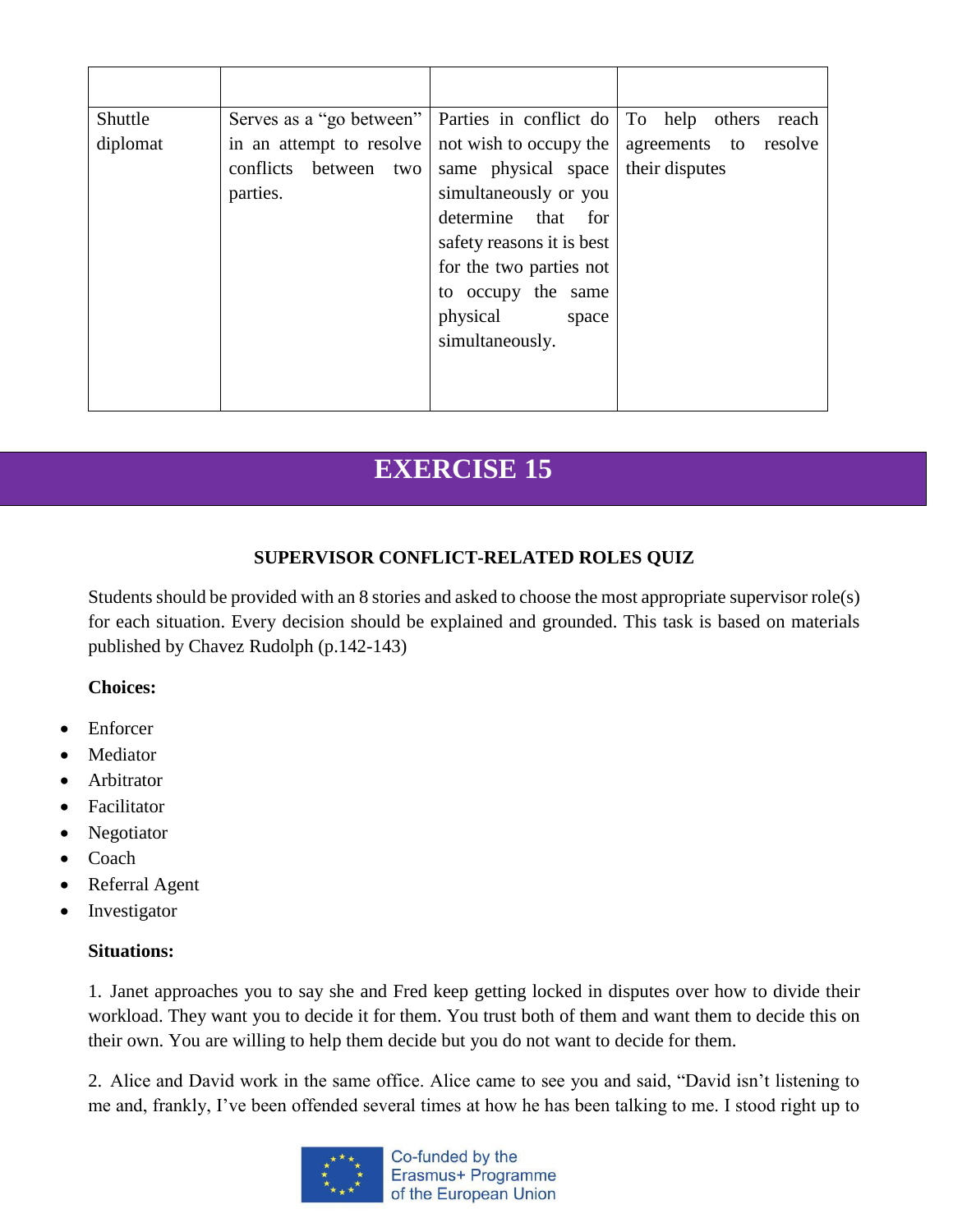| Shuttle  | Serves as a "go between" | Parties in conflict do    | To help others<br>reach  |
|----------|--------------------------|---------------------------|--------------------------|
| diplomat | in an attempt to resolve | not wish to occupy the    | resolve<br>agreements to |
|          | conflicts between two    | same physical space       | their disputes           |
|          | parties.                 | simultaneously or you     |                          |
|          |                          | determine that for        |                          |
|          |                          | safety reasons it is best |                          |
|          |                          | for the two parties not   |                          |
|          |                          | to occupy the same        |                          |
|          |                          | physical<br>space         |                          |
|          |                          | simultaneously.           |                          |
|          |                          |                           |                          |
|          |                          |                           |                          |
|          |                          |                           |                          |

# **EXERCISE 15**

## **SUPERVISOR CONFLICT-RELATED ROLES QUIZ**

Students should be provided with an 8 stories and asked to choose the most appropriate supervisor role(s) for each situation. Every decision should be explained and grounded. This task is based on materials published by Chavez Rudolph (p.142-143)

## **Choices:**

- Enforcer
- Mediator
- Arbitrator
- Facilitator
- Negotiator
- Coach
- Referral Agent
- Investigator

## **Situations:**

1. Janet approaches you to say she and Fred keep getting locked in disputes over how to divide their workload. They want you to decide it for them. You trust both of them and want them to decide this on their own. You are willing to help them decide but you do not want to decide for them.

2. Alice and David work in the same office. Alice came to see you and said, "David isn't listening to me and, frankly, I've been offended several times at how he has been talking to me. I stood right up to